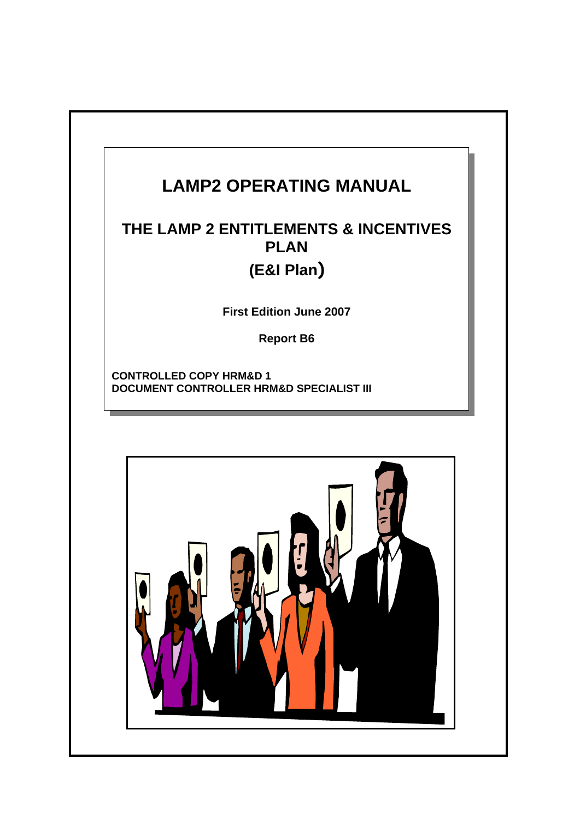# **LAMP2 OPERATING MANUAL**

## **THE LAMP 2 ENTITLEMENTS & INCENTIVES PLAN (E&I Plan)**

**First Edition June 2007** 

**Report B6** 

**CONTROLLED COPY HRM&D 1 DOCUMENT CONTROLLER HRM&D SPECIALIST III** 

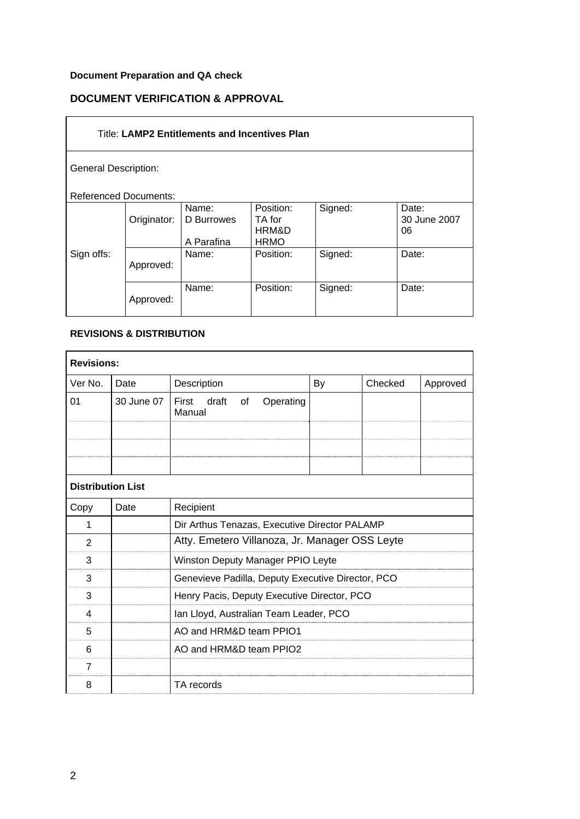### **Document Preparation and QA check**

### **DOCUMENT VERIFICATION & APPROVAL**

| <b>Title: LAMP2 Entitlements and Incentives Plan</b> |             |                                   |                                             |         |                             |
|------------------------------------------------------|-------------|-----------------------------------|---------------------------------------------|---------|-----------------------------|
| <b>General Description:</b>                          |             |                                   |                                             |         |                             |
| <b>Referenced Documents:</b>                         |             |                                   |                                             |         |                             |
|                                                      | Originator: | Name:<br>D Burrowes<br>A Parafina | Position:<br>TA for<br>HRM&D<br><b>HRMO</b> | Signed: | Date:<br>30 June 2007<br>06 |
| Sign offs:                                           | Approved:   | Name:                             | Position:                                   | Signed: | Date:                       |
|                                                      | Approved:   | Name:                             | Position:                                   | Signed: | Date:                       |

#### **REVISIONS & DISTRIBUTION**

| <b>Revisions:</b>        |            |                                                   |    |         |          |  |
|--------------------------|------------|---------------------------------------------------|----|---------|----------|--|
| Ver No.                  | Date       | Description                                       | By | Checked | Approved |  |
| 01                       | 30 June 07 | draft<br>Operating<br>First<br>of<br>Manual       |    |         |          |  |
|                          |            |                                                   |    |         |          |  |
|                          |            |                                                   |    |         |          |  |
| <b>Distribution List</b> |            |                                                   |    |         |          |  |
| Copy                     | Date       | Recipient                                         |    |         |          |  |
| 1                        |            | Dir Arthus Tenazas, Executive Director PALAMP     |    |         |          |  |
| $\overline{2}$           |            | Atty. Emetero Villanoza, Jr. Manager OSS Leyte    |    |         |          |  |
| 3                        |            | Winston Deputy Manager PPIO Leyte                 |    |         |          |  |
| 3                        |            | Genevieve Padilla, Deputy Executive Director, PCO |    |         |          |  |
| 3                        |            | Henry Pacis, Deputy Executive Director, PCO       |    |         |          |  |
| 4                        |            | Ian Lloyd, Australian Team Leader, PCO            |    |         |          |  |
| 5                        |            | AO and HRM&D team PPIO1                           |    |         |          |  |
| 6                        |            | AO and HRM&D team PPIO2                           |    |         |          |  |
| $\overline{7}$           |            |                                                   |    |         |          |  |
| 8                        |            | TA records                                        |    |         |          |  |
|                          |            |                                                   |    |         |          |  |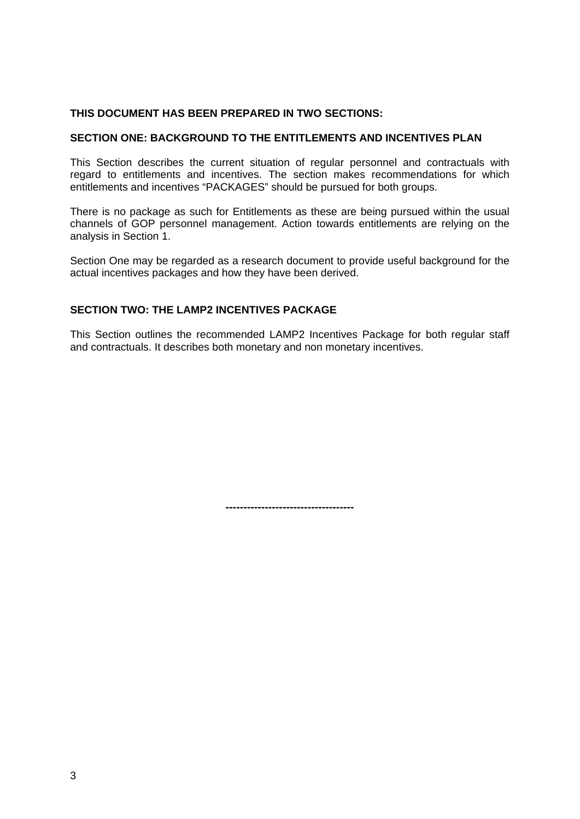#### **THIS DOCUMENT HAS BEEN PREPARED IN TWO SECTIONS:**

#### **SECTION ONE: BACKGROUND TO THE ENTITLEMENTS AND INCENTIVES PLAN**

This Section describes the current situation of regular personnel and contractuals with regard to entitlements and incentives. The section makes recommendations for which entitlements and incentives "PACKAGES" should be pursued for both groups.

There is no package as such for Entitlements as these are being pursued within the usual channels of GOP personnel management. Action towards entitlements are relying on the analysis in Section 1.

Section One may be regarded as a research document to provide useful background for the actual incentives packages and how they have been derived.

#### **SECTION TWO: THE LAMP2 INCENTIVES PACKAGE**

This Section outlines the recommended LAMP2 Incentives Package for both regular staff and contractuals. It describes both monetary and non monetary incentives.

**------------------------------------**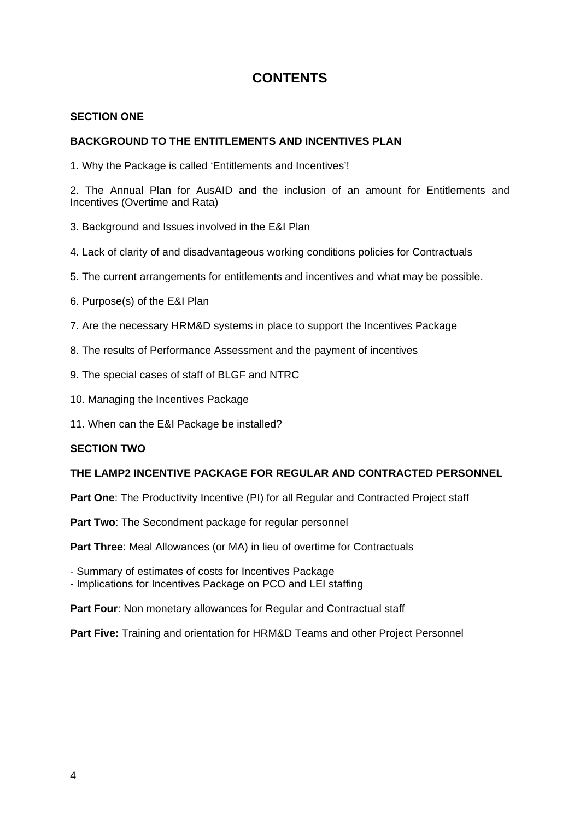## **CONTENTS**

#### **SECTION ONE**

#### **BACKGROUND TO THE ENTITLEMENTS AND INCENTIVES PLAN**

1. Why the Package is called 'Entitlements and Incentives'!

2. The Annual Plan for AusAID and the inclusion of an amount for Entitlements and Incentives (Overtime and Rata)

- 3. Background and Issues involved in the E&I Plan
- 4. Lack of clarity of and disadvantageous working conditions policies for Contractuals
- 5. The current arrangements for entitlements and incentives and what may be possible.
- 6. Purpose(s) of the E&I Plan
- 7. Are the necessary HRM&D systems in place to support the Incentives Package
- 8. The results of Performance Assessment and the payment of incentives
- 9. The special cases of staff of BLGF and NTRC
- 10. Managing the Incentives Package
- 11. When can the E&I Package be installed?

#### **SECTION TWO**

#### **THE LAMP2 INCENTIVE PACKAGE FOR REGULAR AND CONTRACTED PERSONNEL**

**Part One**: The Productivity Incentive (PI) for all Regular and Contracted Project staff

Part Two: The Secondment package for regular personnel

**Part Three**: Meal Allowances (or MA) in lieu of overtime for Contractuals

- Summary of estimates of costs for Incentives Package

- Implications for Incentives Package on PCO and LEI staffing

Part Four: Non monetary allowances for Regular and Contractual staff

**Part Five:** Training and orientation for HRM&D Teams and other Project Personnel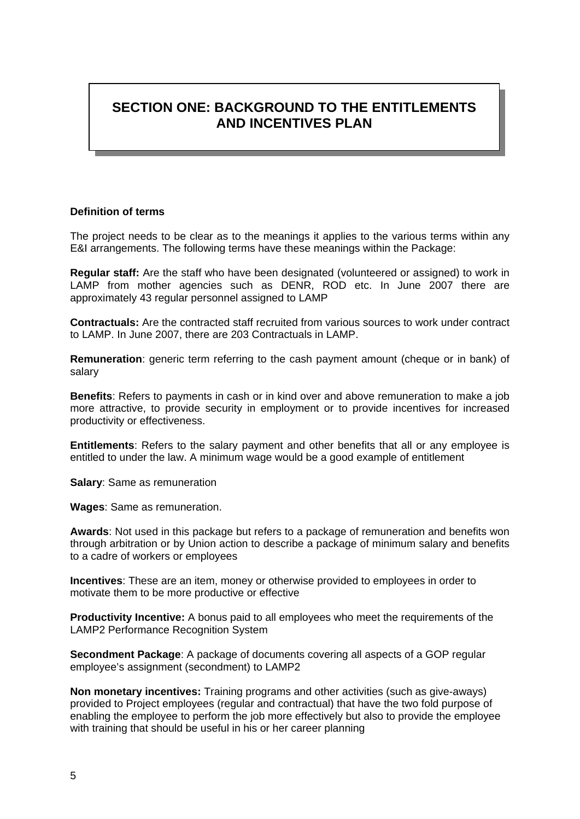## **SECTION ONE: BACKGROUND TO THE ENTITLEMENTS AND INCENTIVES PLAN**

#### **Definition of terms**

The project needs to be clear as to the meanings it applies to the various terms within any E&I arrangements. The following terms have these meanings within the Package:

**Regular staff:** Are the staff who have been designated (volunteered or assigned) to work in LAMP from mother agencies such as DENR, ROD etc. In June 2007 there are approximately 43 regular personnel assigned to LAMP

**Contractuals:** Are the contracted staff recruited from various sources to work under contract to LAMP. In June 2007, there are 203 Contractuals in LAMP.

**Remuneration**: generic term referring to the cash payment amount (cheque or in bank) of salary

**Benefits**: Refers to payments in cash or in kind over and above remuneration to make a job more attractive, to provide security in employment or to provide incentives for increased productivity or effectiveness.

**Entitlements**: Refers to the salary payment and other benefits that all or any employee is entitled to under the law. A minimum wage would be a good example of entitlement

**Salary**: Same as remuneration

**Wages**: Same as remuneration.

**Awards**: Not used in this package but refers to a package of remuneration and benefits won through arbitration or by Union action to describe a package of minimum salary and benefits to a cadre of workers or employees

**Incentives**: These are an item, money or otherwise provided to employees in order to motivate them to be more productive or effective

**Productivity Incentive:** A bonus paid to all employees who meet the requirements of the LAMP2 Performance Recognition System

**Secondment Package**: A package of documents covering all aspects of a GOP regular employee's assignment (secondment) to LAMP2

**Non monetary incentives:** Training programs and other activities (such as give-aways) provided to Project employees (regular and contractual) that have the two fold purpose of enabling the employee to perform the job more effectively but also to provide the employee with training that should be useful in his or her career planning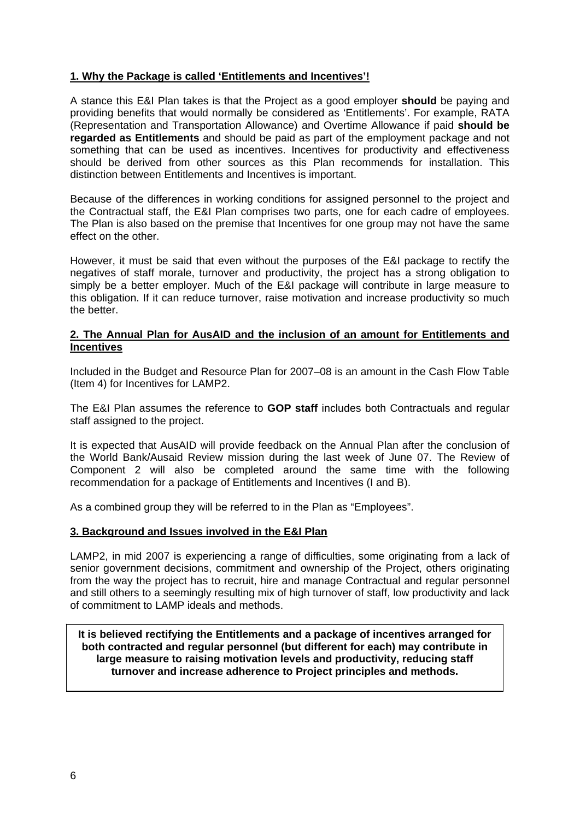#### **1. Why the Package is called 'Entitlements and Incentives'!**

A stance this E&I Plan takes is that the Project as a good employer **should** be paying and providing benefits that would normally be considered as 'Entitlements'. For example, RATA (Representation and Transportation Allowance) and Overtime Allowance if paid **should be regarded as Entitlements** and should be paid as part of the employment package and not something that can be used as incentives. Incentives for productivity and effectiveness should be derived from other sources as this Plan recommends for installation. This distinction between Entitlements and Incentives is important.

Because of the differences in working conditions for assigned personnel to the project and the Contractual staff, the E&I Plan comprises two parts, one for each cadre of employees. The Plan is also based on the premise that Incentives for one group may not have the same effect on the other.

However, it must be said that even without the purposes of the E&I package to rectify the negatives of staff morale, turnover and productivity, the project has a strong obligation to simply be a better employer. Much of the E&I package will contribute in large measure to this obligation. If it can reduce turnover, raise motivation and increase productivity so much the better.

#### **2. The Annual Plan for AusAID and the inclusion of an amount for Entitlements and Incentives**

Included in the Budget and Resource Plan for 2007–08 is an amount in the Cash Flow Table (Item 4) for Incentives for LAMP2.

The E&I Plan assumes the reference to **GOP staff** includes both Contractuals and regular staff assigned to the project.

It is expected that AusAID will provide feedback on the Annual Plan after the conclusion of the World Bank/Ausaid Review mission during the last week of June 07. The Review of Component 2 will also be completed around the same time with the following recommendation for a package of Entitlements and Incentives (I and B).

As a combined group they will be referred to in the Plan as "Employees".

#### **3. Background and Issues involved in the E&I Plan**

LAMP2, in mid 2007 is experiencing a range of difficulties, some originating from a lack of senior government decisions, commitment and ownership of the Project, others originating from the way the project has to recruit, hire and manage Contractual and regular personnel and still others to a seemingly resulting mix of high turnover of staff, low productivity and lack of commitment to LAMP ideals and methods.

**It is believed rectifying the Entitlements and a package of incentives arranged for both contracted and regular personnel (but different for each) may contribute in large measure to raising motivation levels and productivity, reducing staff turnover and increase adherence to Project principles and methods.**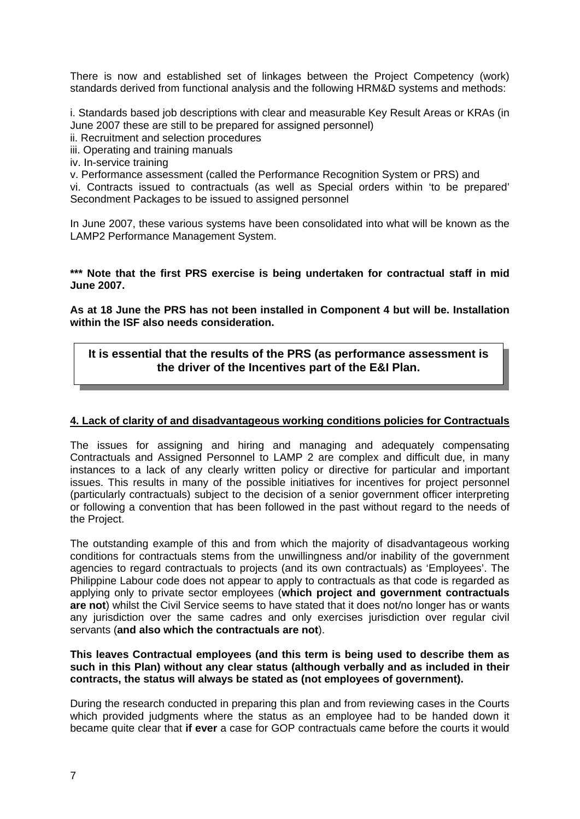There is now and established set of linkages between the Project Competency (work) standards derived from functional analysis and the following HRM&D systems and methods:

i. Standards based job descriptions with clear and measurable Key Result Areas or KRAs (in June 2007 these are still to be prepared for assigned personnel)

- ii. Recruitment and selection procedures
- iii. Operating and training manuals
- iv. In-service training

v. Performance assessment (called the Performance Recognition System or PRS) and

vi. Contracts issued to contractuals (as well as Special orders within 'to be prepared' Secondment Packages to be issued to assigned personnel

In June 2007, these various systems have been consolidated into what will be known as the LAMP2 Performance Management System.

#### **\*\*\* Note that the first PRS exercise is being undertaken for contractual staff in mid June 2007.**

**As at 18 June the PRS has not been installed in Component 4 but will be. Installation within the ISF also needs consideration.** 

#### **It is essential that the results of the PRS (as performance assessment is the driver of the Incentives part of the E&I Plan.**

#### **4. Lack of clarity of and disadvantageous working conditions policies for Contractuals**

The issues for assigning and hiring and managing and adequately compensating Contractuals and Assigned Personnel to LAMP 2 are complex and difficult due, in many instances to a lack of any clearly written policy or directive for particular and important issues. This results in many of the possible initiatives for incentives for project personnel (particularly contractuals) subject to the decision of a senior government officer interpreting or following a convention that has been followed in the past without regard to the needs of the Project.

The outstanding example of this and from which the majority of disadvantageous working conditions for contractuals stems from the unwillingness and/or inability of the government agencies to regard contractuals to projects (and its own contractuals) as 'Employees'. The Philippine Labour code does not appear to apply to contractuals as that code is regarded as applying only to private sector employees (**which project and government contractuals are not**) whilst the Civil Service seems to have stated that it does not/no longer has or wants any jurisdiction over the same cadres and only exercises jurisdiction over regular civil servants (**and also which the contractuals are not**).

#### **This leaves Contractual employees (and this term is being used to describe them as such in this Plan) without any clear status (although verbally and as included in their contracts, the status will always be stated as (not employees of government).**

During the research conducted in preparing this plan and from reviewing cases in the Courts which provided judgments where the status as an employee had to be handed down it became quite clear that **if ever** a case for GOP contractuals came before the courts it would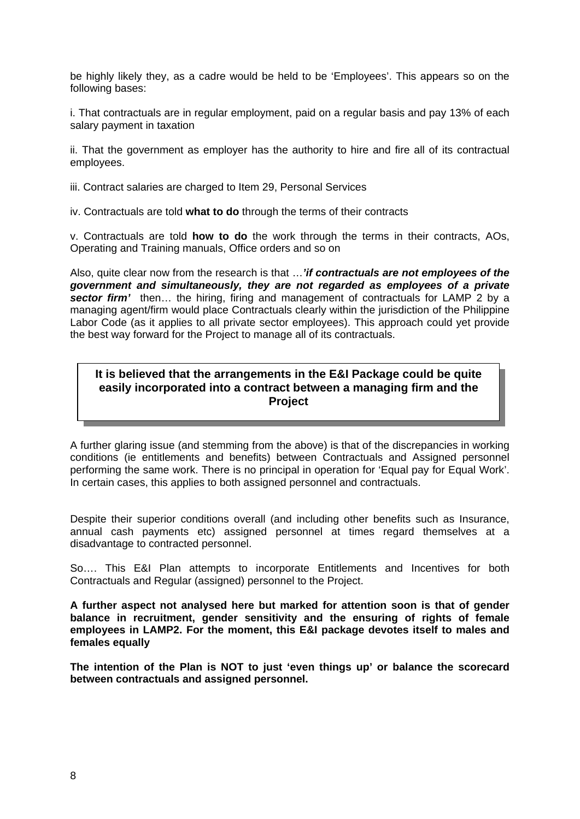be highly likely they, as a cadre would be held to be 'Employees'. This appears so on the following bases:

i. That contractuals are in regular employment, paid on a regular basis and pay 13% of each salary payment in taxation

ii. That the government as employer has the authority to hire and fire all of its contractual employees.

iii. Contract salaries are charged to Item 29, Personal Services

iv. Contractuals are told **what to do** through the terms of their contracts

v. Contractuals are told **how to do** the work through the terms in their contracts, AOs, Operating and Training manuals, Office orders and so on

Also, quite clear now from the research is that …*'if contractuals are not employees of the government and simultaneously, they are not regarded as employees of a private sector firm'* then… the hiring, firing and management of contractuals for LAMP 2 by a managing agent/firm would place Contractuals clearly within the jurisdiction of the Philippine Labor Code (as it applies to all private sector employees). This approach could yet provide the best way forward for the Project to manage all of its contractuals.

#### **It is believed that the arrangements in the E&I Package could be quite easily incorporated into a contract between a managing firm and the Project**

A further glaring issue (and stemming from the above) is that of the discrepancies in working conditions (ie entitlements and benefits) between Contractuals and Assigned personnel performing the same work. There is no principal in operation for 'Equal pay for Equal Work'. In certain cases, this applies to both assigned personnel and contractuals.

Despite their superior conditions overall (and including other benefits such as Insurance, annual cash payments etc) assigned personnel at times regard themselves at a disadvantage to contracted personnel.

So…. This E&I Plan attempts to incorporate Entitlements and Incentives for both Contractuals and Regular (assigned) personnel to the Project.

**A further aspect not analysed here but marked for attention soon is that of gender balance in recruitment, gender sensitivity and the ensuring of rights of female employees in LAMP2. For the moment, this E&I package devotes itself to males and females equally** 

**The intention of the Plan is NOT to just 'even things up' or balance the scorecard between contractuals and assigned personnel.**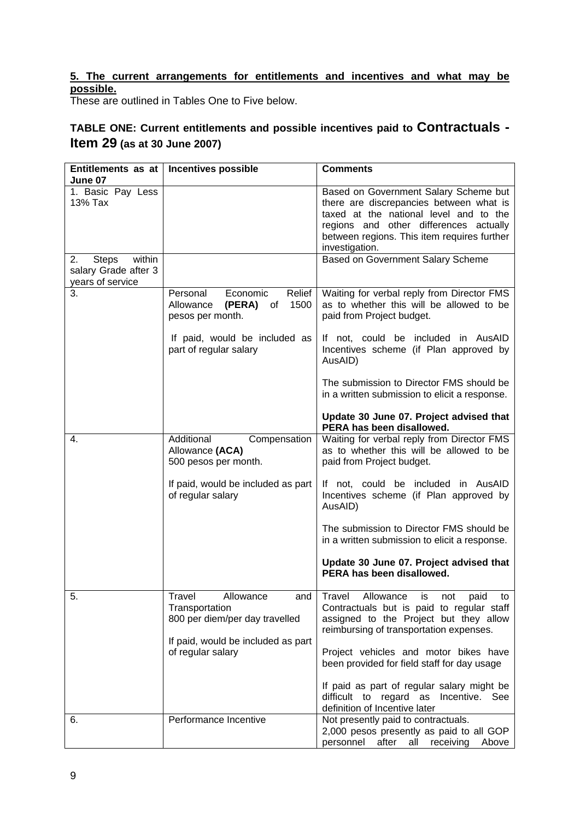#### **5. The current arrangements for entitlements and incentives and what may be possible.**

These are outlined in Tables One to Five below.

## **TABLE ONE: Current entitlements and possible incentives paid to Contractuals - Item 29 (as at 30 June 2007)**

| Entitlements as at           | <b>Incentives possible</b>                                                                                                                         | <b>Comments</b>                                                                                                                                                                                                                                                                                                                                     |
|------------------------------|----------------------------------------------------------------------------------------------------------------------------------------------------|-----------------------------------------------------------------------------------------------------------------------------------------------------------------------------------------------------------------------------------------------------------------------------------------------------------------------------------------------------|
| June 07                      |                                                                                                                                                    |                                                                                                                                                                                                                                                                                                                                                     |
| 1. Basic Pay Less<br>13% Tax |                                                                                                                                                    | Based on Government Salary Scheme but<br>there are discrepancies between what is<br>taxed at the national level and to the<br>regions and other differences actually<br>between regions. This item requires further<br>investigation.                                                                                                               |
| within<br>2.<br><b>Steps</b> |                                                                                                                                                    | Based on Government Salary Scheme                                                                                                                                                                                                                                                                                                                   |
| salary Grade after 3         |                                                                                                                                                    |                                                                                                                                                                                                                                                                                                                                                     |
| years of service             |                                                                                                                                                    |                                                                                                                                                                                                                                                                                                                                                     |
| 3.                           | Personal<br>Economic<br>Relief<br>1500<br>Allowance<br>(PERA)<br>0f<br>pesos per month.<br>If paid, would be included as<br>part of regular salary | Waiting for verbal reply from Director FMS<br>as to whether this will be allowed to be<br>paid from Project budget.<br>If not, could be included in AusAID<br>Incentives scheme (if Plan approved by<br>AusAID)                                                                                                                                     |
|                              |                                                                                                                                                    | The submission to Director FMS should be<br>in a written submission to elicit a response.                                                                                                                                                                                                                                                           |
|                              |                                                                                                                                                    | Update 30 June 07. Project advised that<br>PERA has been disallowed.                                                                                                                                                                                                                                                                                |
| 4.                           | Additional<br>Compensation<br>Allowance (ACA)<br>500 pesos per month.<br>If paid, would be included as part                                        | Waiting for verbal reply from Director FMS<br>as to whether this will be allowed to be<br>paid from Project budget.<br>If not, could be included in AusAID                                                                                                                                                                                          |
|                              | of regular salary                                                                                                                                  | Incentives scheme (if Plan approved by<br>AusAID)                                                                                                                                                                                                                                                                                                   |
|                              |                                                                                                                                                    | The submission to Director FMS should be<br>in a written submission to elicit a response.                                                                                                                                                                                                                                                           |
|                              |                                                                                                                                                    | Update 30 June 07. Project advised that<br>PERA has been disallowed.                                                                                                                                                                                                                                                                                |
| 5.                           | Travel<br>Allowance<br>and<br>Transportation<br>800 per diem/per day travelled<br>If paid, would be included as part<br>of regular salary          | Travel Allowance is not<br>paid to<br>Contractuals but is paid to regular staff<br>assigned to the Project but they allow<br>reimbursing of transportation expenses.<br>Project vehicles and motor bikes have<br>been provided for field staff for day usage<br>If paid as part of regular salary might be<br>difficult to regard as Incentive. See |
|                              |                                                                                                                                                    | definition of Incentive later                                                                                                                                                                                                                                                                                                                       |
| 6.                           | Performance Incentive                                                                                                                              | Not presently paid to contractuals.<br>2,000 pesos presently as paid to all GOP<br>personnel<br>after all receiving Above                                                                                                                                                                                                                           |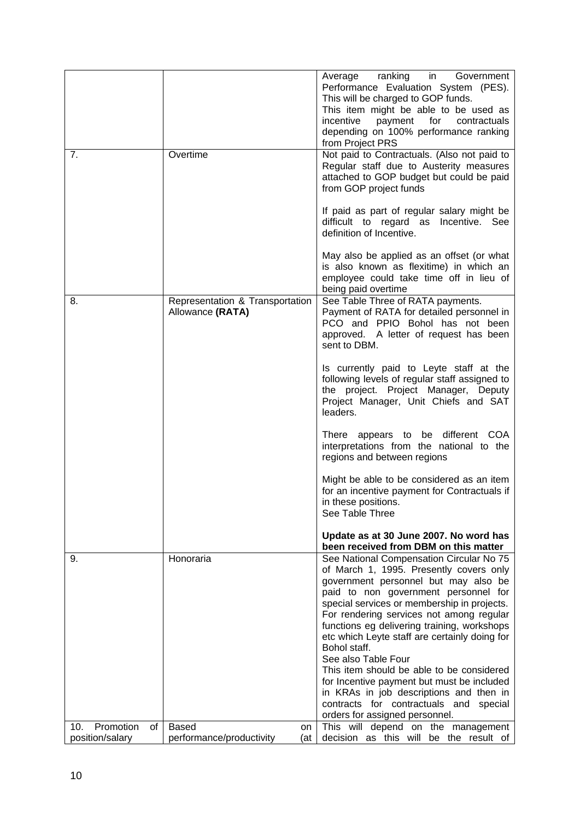|                        |                                                     | ranking<br>in l<br>Average<br>Government<br>Performance Evaluation System (PES).<br>This will be charged to GOP funds.<br>This item might be able to be used as<br>incentive<br>payment for<br>contractuals<br>depending on 100% performance ranking<br>from Project PRS                                                                                                       |
|------------------------|-----------------------------------------------------|--------------------------------------------------------------------------------------------------------------------------------------------------------------------------------------------------------------------------------------------------------------------------------------------------------------------------------------------------------------------------------|
| 7.                     | Overtime                                            | Not paid to Contractuals. (Also not paid to<br>Regular staff due to Austerity measures<br>attached to GOP budget but could be paid<br>from GOP project funds                                                                                                                                                                                                                   |
|                        |                                                     | If paid as part of regular salary might be<br>difficult to regard as Incentive. See<br>definition of Incentive.                                                                                                                                                                                                                                                                |
|                        |                                                     | May also be applied as an offset (or what<br>is also known as flexitime) in which an<br>employee could take time off in lieu of<br>being paid overtime                                                                                                                                                                                                                         |
| 8.                     | Representation & Transportation<br>Allowance (RATA) | See Table Three of RATA payments.<br>Payment of RATA for detailed personnel in<br>PCO and PPIO Bohol has not been<br>approved. A letter of request has been<br>sent to DBM.                                                                                                                                                                                                    |
|                        |                                                     | Is currently paid to Leyte staff at the<br>following levels of regular staff assigned to<br>the project. Project Manager, Deputy<br>Project Manager, Unit Chiefs and SAT<br>leaders.                                                                                                                                                                                           |
|                        |                                                     | There appears to be different COA<br>interpretations from the national to the<br>regions and between regions                                                                                                                                                                                                                                                                   |
|                        |                                                     | Might be able to be considered as an item<br>for an incentive payment for Contractuals if<br>in these positions.<br>See Table Three                                                                                                                                                                                                                                            |
|                        |                                                     | Update as at 30 June 2007. No word has<br>been received from DBM on this matter                                                                                                                                                                                                                                                                                                |
| 9.                     | Honoraria                                           | See National Compensation Circular No 75<br>of March 1, 1995. Presently covers only<br>government personnel but may also be<br>paid to non government personnel for<br>special services or membership in projects.<br>For rendering services not among regular<br>functions eg delivering training, workshops<br>etc which Leyte staff are certainly doing for<br>Bohol staff. |
|                        |                                                     | See also Table Four<br>This item should be able to be considered<br>for Incentive payment but must be included<br>in KRAs in job descriptions and then in<br>contracts for contractuals and special<br>orders for assigned personnel.                                                                                                                                          |
| Promotion<br>10.<br>of | <b>Based</b><br>on                                  | This will depend on the management                                                                                                                                                                                                                                                                                                                                             |
| position/salary        | performance/productivity<br>(at                     | decision as this will be the result of                                                                                                                                                                                                                                                                                                                                         |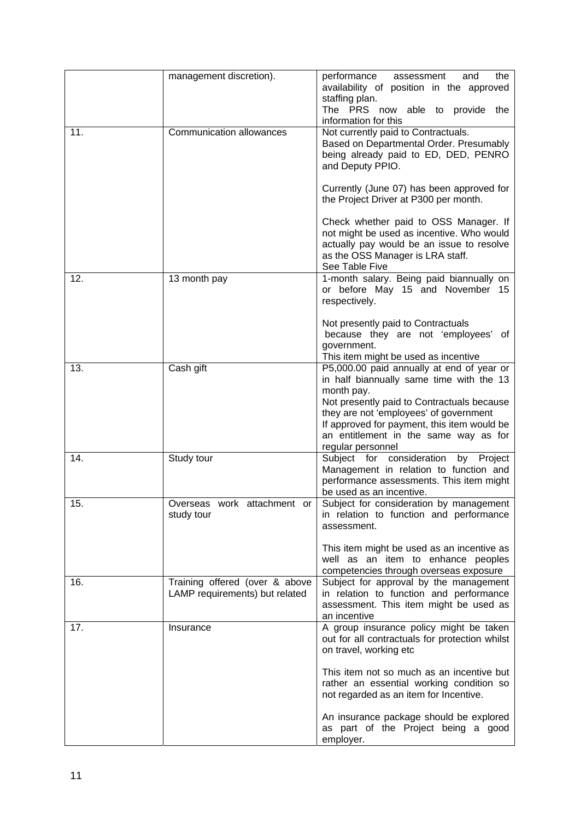|     | management discretion).                                          | performance<br>the<br>assessment<br>and<br>availability of position in the approved<br>staffing plan.<br>The PRS now able to provide<br>the<br>information for this                                                                                                                                      |
|-----|------------------------------------------------------------------|----------------------------------------------------------------------------------------------------------------------------------------------------------------------------------------------------------------------------------------------------------------------------------------------------------|
| 11. | <b>Communication allowances</b>                                  | Not currently paid to Contractuals.<br>Based on Departmental Order. Presumably<br>being already paid to ED, DED, PENRO<br>and Deputy PPIO.                                                                                                                                                               |
|     |                                                                  | Currently (June 07) has been approved for<br>the Project Driver at P300 per month.                                                                                                                                                                                                                       |
|     |                                                                  | Check whether paid to OSS Manager. If<br>not might be used as incentive. Who would<br>actually pay would be an issue to resolve<br>as the OSS Manager is LRA staff.<br>See Table Five                                                                                                                    |
| 12. | 13 month pay                                                     | 1-month salary. Being paid biannually on<br>or before May 15 and November 15<br>respectively.                                                                                                                                                                                                            |
|     |                                                                  | Not presently paid to Contractuals<br>because they are not 'employees' of<br>government.<br>This item might be used as incentive                                                                                                                                                                         |
| 13. | Cash gift                                                        | P5,000.00 paid annually at end of year or<br>in half biannually same time with the 13<br>month pay.<br>Not presently paid to Contractuals because<br>they are not 'employees' of government<br>If approved for payment, this item would be<br>an entitlement in the same way as for<br>regular personnel |
| 14. | Study tour                                                       | Subject for consideration<br>by Project<br>Management in relation to function and<br>performance assessments. This item might<br>be used as an incentive.                                                                                                                                                |
| 15. | Overseas work attachment or<br>study tour                        | Subject for consideration by management<br>in relation to function and performance<br>assessment.                                                                                                                                                                                                        |
|     |                                                                  | This item might be used as an incentive as<br>well as an item to enhance peoples<br>competencies through overseas exposure                                                                                                                                                                               |
| 16. | Training offered (over & above<br>LAMP requirements) but related | Subject for approval by the management<br>in relation to function and performance<br>assessment. This item might be used as<br>an incentive                                                                                                                                                              |
| 17. | Insurance                                                        | A group insurance policy might be taken<br>out for all contractuals for protection whilst<br>on travel, working etc                                                                                                                                                                                      |
|     |                                                                  | This item not so much as an incentive but<br>rather an essential working condition so<br>not regarded as an item for Incentive.                                                                                                                                                                          |
|     |                                                                  | An insurance package should be explored<br>as part of the Project being a good<br>employer.                                                                                                                                                                                                              |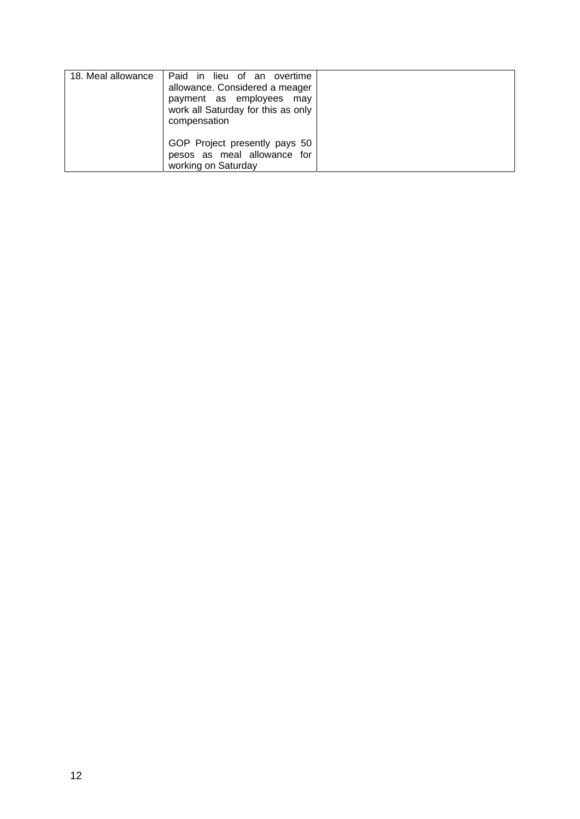| 18. Meal allowance | Paid in lieu of an overtime<br>allowance. Considered a meager<br>payment as employees may<br>work all Saturday for this as only<br>compensation |  |
|--------------------|-------------------------------------------------------------------------------------------------------------------------------------------------|--|
|                    | GOP Project presently pays 50<br>pesos as meal allowance for<br>working on Saturday                                                             |  |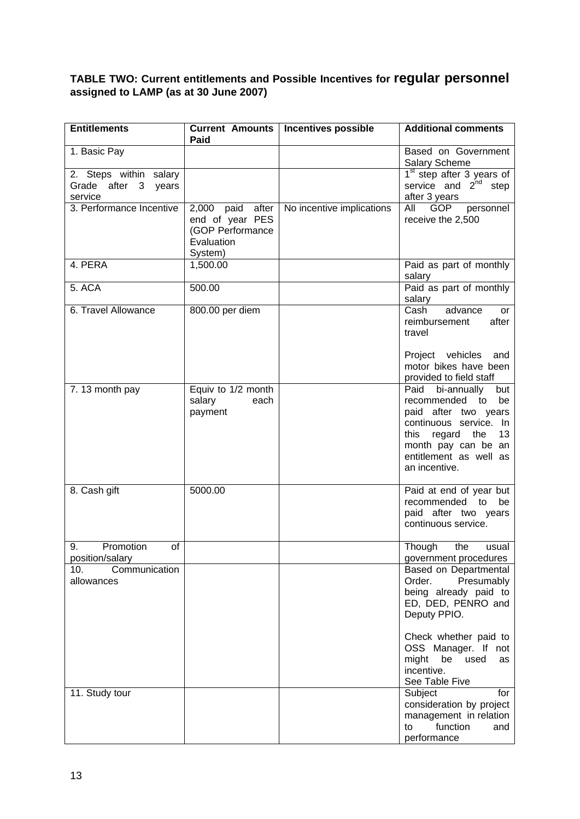#### **TABLE TWO: Current entitlements and Possible Incentives for regular personnel assigned to LAMP (as at 30 June 2007)**

| <b>Entitlements</b>                                      | Paid                                                                             | Current Amounts   Incentives possible | <b>Additional comments</b>                                                                                                                                                                         |
|----------------------------------------------------------|----------------------------------------------------------------------------------|---------------------------------------|----------------------------------------------------------------------------------------------------------------------------------------------------------------------------------------------------|
| 1. Basic Pay                                             |                                                                                  |                                       | Based on Government<br><b>Salary Scheme</b>                                                                                                                                                        |
| 2. Steps within salary<br>Grade after 3 years<br>service |                                                                                  |                                       | $1st$ step after 3 years of<br>service and $2^{nd}$ step<br>after 3 years                                                                                                                          |
| 3. Performance Incentive                                 | 2,000 paid after<br>end of year PES<br>(GOP Performance<br>Evaluation<br>System) | No incentive implications             | All<br>GOP personnel<br>receive the 2,500                                                                                                                                                          |
| 4. PERA                                                  | 1,500.00                                                                         |                                       | Paid as part of monthly<br>salary                                                                                                                                                                  |
| 5. ACA                                                   | 500.00                                                                           |                                       | Paid as part of monthly<br>salary                                                                                                                                                                  |
| 6. Travel Allowance                                      | 800.00 per diem                                                                  |                                       | advance<br>Cash<br>or<br>reimbursement<br>after<br>travel                                                                                                                                          |
|                                                          |                                                                                  |                                       | Project vehicles<br>and<br>motor bikes have been<br>provided to field staff                                                                                                                        |
| 7.13 month pay                                           | Equiv to 1/2 month<br>salary<br>each<br>payment                                  |                                       | Paid bi-annually<br>but<br>recommended to<br>be<br>paid after two years<br>continuous service. In<br>this<br>regard<br>the<br>13<br>month pay can be an<br>entitlement as well as<br>an incentive. |
| 8. Cash gift                                             | 5000.00                                                                          |                                       | Paid at end of year but<br>recommended to<br>be<br>paid after two years<br>continuous service.                                                                                                     |
| Promotion<br>οf<br>9.<br>position/salary                 |                                                                                  |                                       | Though<br>the<br>usual<br>government procedures                                                                                                                                                    |
| 10.<br>Communication<br>allowances                       |                                                                                  |                                       | Based on Departmental<br>Order.<br>Presumably<br>being already paid to<br>ED, DED, PENRO and<br>Deputy PPIO.                                                                                       |
|                                                          |                                                                                  |                                       | Check whether paid to<br>OSS Manager. If not<br>might<br>be<br>used<br>as<br>incentive.<br>See Table Five                                                                                          |
| 11. Study tour                                           |                                                                                  |                                       | Subject<br>for<br>consideration by project<br>management in relation<br>function<br>to<br>and<br>performance                                                                                       |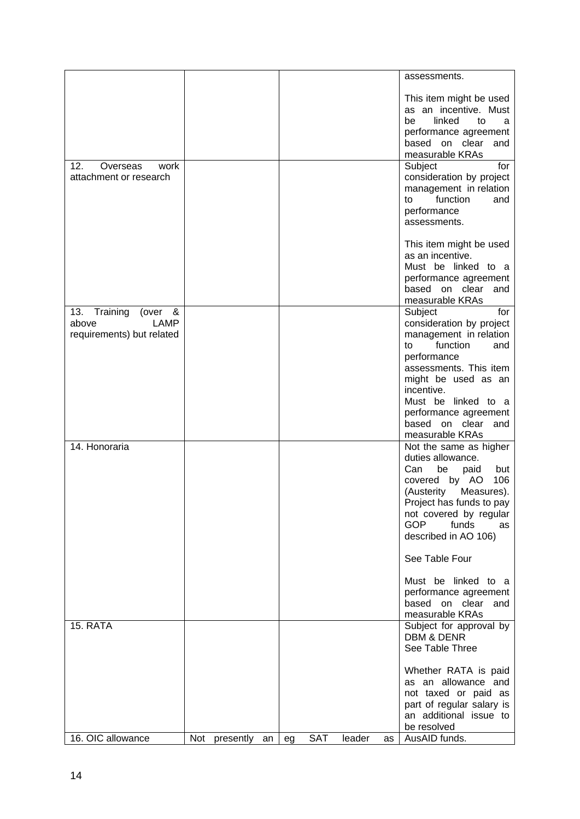|                                                   |                  |    |     |        |    | assessments.                                      |
|---------------------------------------------------|------------------|----|-----|--------|----|---------------------------------------------------|
|                                                   |                  |    |     |        |    | This item might be used                           |
|                                                   |                  |    |     |        |    | as an incentive. Must                             |
|                                                   |                  |    |     |        |    | linked<br>be<br>to<br>a<br>performance agreement  |
|                                                   |                  |    |     |        |    | based on clear<br>and                             |
|                                                   |                  |    |     |        |    | measurable KRAs                                   |
| 12.<br>work<br>Overseas<br>attachment or research |                  |    |     |        |    | Subject<br>for<br>consideration by project        |
|                                                   |                  |    |     |        |    | management in relation                            |
|                                                   |                  |    |     |        |    | function<br>and<br>to                             |
|                                                   |                  |    |     |        |    | performance<br>assessments.                       |
|                                                   |                  |    |     |        |    |                                                   |
|                                                   |                  |    |     |        |    | This item might be used                           |
|                                                   |                  |    |     |        |    | as an incentive.<br>Must be linked to a           |
|                                                   |                  |    |     |        |    | performance agreement                             |
|                                                   |                  |    |     |        |    | based on clear and                                |
| 13. Training<br>(over $\&$                        |                  |    |     |        |    | measurable KRAs<br>Subject<br>for                 |
| above<br>LAMP                                     |                  |    |     |        |    | consideration by project                          |
| requirements) but related                         |                  |    |     |        |    | management in relation                            |
|                                                   |                  |    |     |        |    | function<br>to<br>and<br>performance              |
|                                                   |                  |    |     |        |    | assessments. This item                            |
|                                                   |                  |    |     |        |    | might be used as an                               |
|                                                   |                  |    |     |        |    | incentive.<br>Must be linked to a                 |
|                                                   |                  |    |     |        |    | performance agreement                             |
|                                                   |                  |    |     |        |    | based on clear and<br>measurable KRAs             |
| 14. Honoraria                                     |                  |    |     |        |    | Not the same as higher                            |
|                                                   |                  |    |     |        |    | duties allowance.                                 |
|                                                   |                  |    |     |        |    | be<br>but<br>Can<br>paid<br>106<br>covered by AO  |
|                                                   |                  |    |     |        |    | (Austerity<br>Measures).                          |
|                                                   |                  |    |     |        |    | Project has funds to pay                          |
|                                                   |                  |    |     |        |    | not covered by regular<br><b>GOP</b><br>funds     |
|                                                   |                  |    |     |        |    | as<br>described in AO 106)                        |
|                                                   |                  |    |     |        |    |                                                   |
|                                                   |                  |    |     |        |    | See Table Four                                    |
|                                                   |                  |    |     |        |    | Must be linked to a                               |
|                                                   |                  |    |     |        |    | performance agreement                             |
|                                                   |                  |    |     |        |    | based on clear and<br>measurable KRAs             |
| 15. RATA                                          |                  |    |     |        |    | Subject for approval by                           |
|                                                   |                  |    |     |        |    | <b>DBM &amp; DENR</b>                             |
|                                                   |                  |    |     |        |    | See Table Three                                   |
|                                                   |                  |    |     |        |    | Whether RATA is paid                              |
|                                                   |                  |    |     |        |    | as an allowance and                               |
|                                                   |                  |    |     |        |    | not taxed or paid as<br>part of regular salary is |
|                                                   |                  |    |     |        |    | an additional issue to                            |
|                                                   |                  |    |     |        |    | be resolved                                       |
| 16. OIC allowance                                 | Not presently an | eg | SAT | leader | as | AusAID funds.                                     |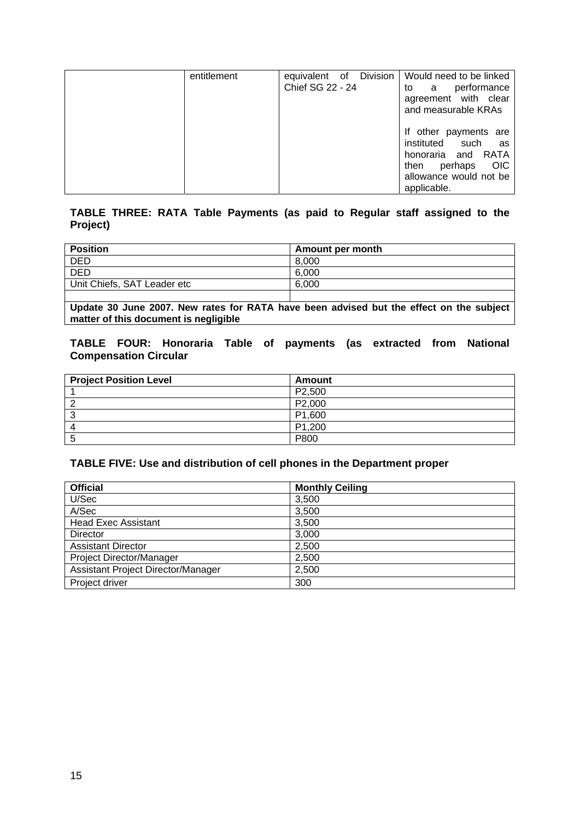| entitlement | equivalent of Division<br>Chief SG 22 - 24 | Would need to be linked<br>performance<br>a<br>to<br>agreement with clear<br>and measurable KRAs                                                  |
|-------------|--------------------------------------------|---------------------------------------------------------------------------------------------------------------------------------------------------|
|             |                                            | If other payments are<br>instituted such<br>as<br>RATA<br>honoraria and<br><b>OIC</b><br>perhaps<br>then<br>allowance would not be<br>applicable. |

#### **TABLE THREE: RATA Table Payments (as paid to Regular staff assigned to the Project)**

| <b>Position</b>             | Amount per month |
|-----------------------------|------------------|
| <b>DED</b>                  | 8.000            |
| <b>DED</b>                  | 6,000            |
| Unit Chiefs, SAT Leader etc | 6.000            |
|                             |                  |

**Update 30 June 2007. New rates for RATA have been advised but the effect on the subject matter of this document is negligible** 

#### **TABLE FOUR: Honoraria Table of payments (as extracted from National Compensation Circular**

| <b>Project Position Level</b> | Amount              |
|-------------------------------|---------------------|
|                               | P <sub>2</sub> ,500 |
|                               | P2,000              |
| ◠                             | P1,600              |
|                               | P <sub>1</sub> ,200 |
|                               | P800                |

#### **TABLE FIVE: Use and distribution of cell phones in the Department proper**

| <b>Official</b>                    | <b>Monthly Ceiling</b> |
|------------------------------------|------------------------|
| U/Sec                              | 3,500                  |
| A/Sec                              | 3,500                  |
| <b>Head Exec Assistant</b>         | 3,500                  |
| Director                           | 3,000                  |
| <b>Assistant Director</b>          | 2,500                  |
| <b>Project Director/Manager</b>    | 2,500                  |
| Assistant Project Director/Manager | 2,500                  |
| Project driver                     | 300                    |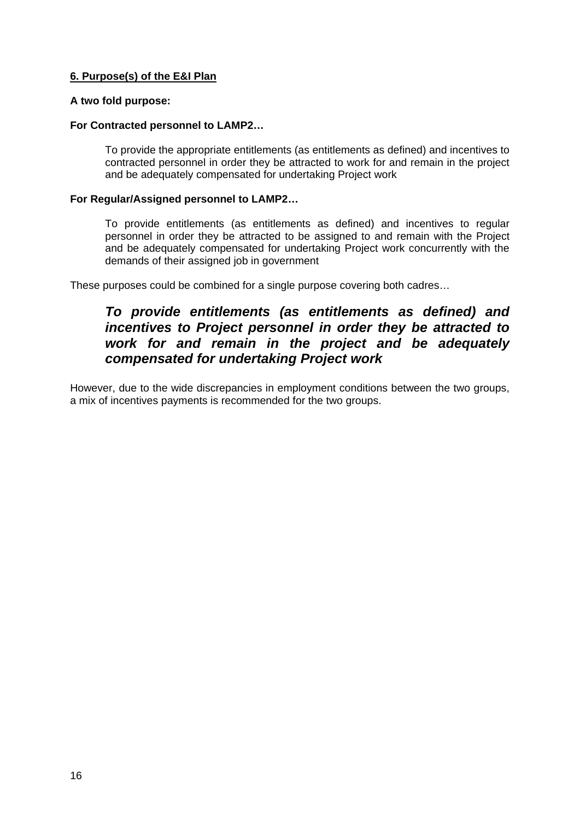#### **6. Purpose(s) of the E&I Plan**

#### **A two fold purpose:**

#### **For Contracted personnel to LAMP2…**

To provide the appropriate entitlements (as entitlements as defined) and incentives to contracted personnel in order they be attracted to work for and remain in the project and be adequately compensated for undertaking Project work

#### **For Regular/Assigned personnel to LAMP2…**

To provide entitlements (as entitlements as defined) and incentives to regular personnel in order they be attracted to be assigned to and remain with the Project and be adequately compensated for undertaking Project work concurrently with the demands of their assigned job in government

These purposes could be combined for a single purpose covering both cadres…

### *To provide entitlements (as entitlements as defined) and incentives to Project personnel in order they be attracted to work for and remain in the project and be adequately compensated for undertaking Project work*

However, due to the wide discrepancies in employment conditions between the two groups, a mix of incentives payments is recommended for the two groups.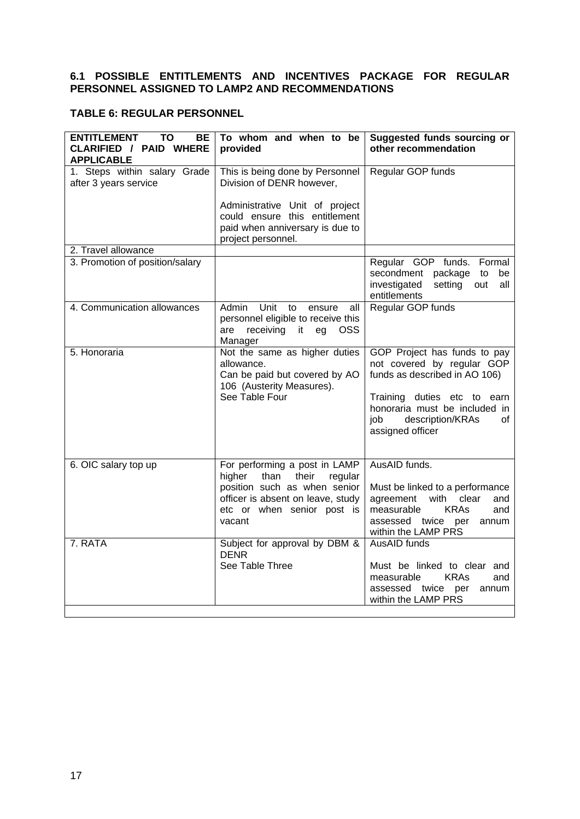#### **6.1 POSSIBLE ENTITLEMENTS AND INCENTIVES PACKAGE FOR REGULAR PERSONNEL ASSIGNED TO LAMP2 AND RECOMMENDATIONS**

#### **TABLE 6: REGULAR PERSONNEL**

| <b>ENTITLEMENT</b><br>TO<br>BЕ<br><b>CLARIFIED / PAID WHERE</b><br><b>APPLICABLE</b> | To whom and when to be<br>provided                                                                                                                                               | Suggested funds sourcing or<br>other recommendation                                                                                                                                                               |
|--------------------------------------------------------------------------------------|----------------------------------------------------------------------------------------------------------------------------------------------------------------------------------|-------------------------------------------------------------------------------------------------------------------------------------------------------------------------------------------------------------------|
| 1. Steps within salary Grade<br>after 3 years service                                | This is being done by Personnel<br>Division of DENR however,                                                                                                                     | Regular GOP funds                                                                                                                                                                                                 |
|                                                                                      | Administrative Unit of project<br>could ensure this entitlement<br>paid when anniversary is due to<br>project personnel.                                                         |                                                                                                                                                                                                                   |
| 2. Travel allowance                                                                  |                                                                                                                                                                                  |                                                                                                                                                                                                                   |
| 3. Promotion of position/salary                                                      |                                                                                                                                                                                  | Regular GOP funds. Formal<br>secondment package<br>to<br>be<br>investigated<br>setting out<br>all<br>entitlements                                                                                                 |
| 4. Communication allowances                                                          | Unit to<br>Admin<br>ensure<br>all<br>personnel eligible to receive this<br>receiving it<br>eg OSS<br>are<br>Manager                                                              | Regular GOP funds                                                                                                                                                                                                 |
| 5. Honoraria                                                                         | Not the same as higher duties<br>allowance.<br>Can be paid but covered by AO<br>106 (Austerity Measures).<br>See Table Four                                                      | GOP Project has funds to pay<br>not covered by regular GOP<br>funds as described in AO 106)<br>Training duties etc to earn<br>honoraria must be included in<br>description/KRAs<br>job.<br>οf<br>assigned officer |
| 6. OIC salary top up                                                                 | For performing a post in LAMP<br>than<br>their<br>higher<br>regular<br>position such as when senior<br>officer is absent on leave, study<br>etc or when senior post is<br>vacant | AusAID funds.<br>Must be linked to a performance<br>agreement<br>with<br>clear<br>and<br>measurable<br><b>KRAs</b><br>and<br>assessed twice per<br>annum<br>within the LAMP PRS                                   |
| 7. RATA                                                                              | Subject for approval by DBM &<br><b>DENR</b><br>See Table Three                                                                                                                  | AusAID funds<br>Must be linked to clear and<br><b>KRAs</b><br>measurable<br>and<br>assessed<br>twice<br>per<br>annum<br>within the LAMP PRS                                                                       |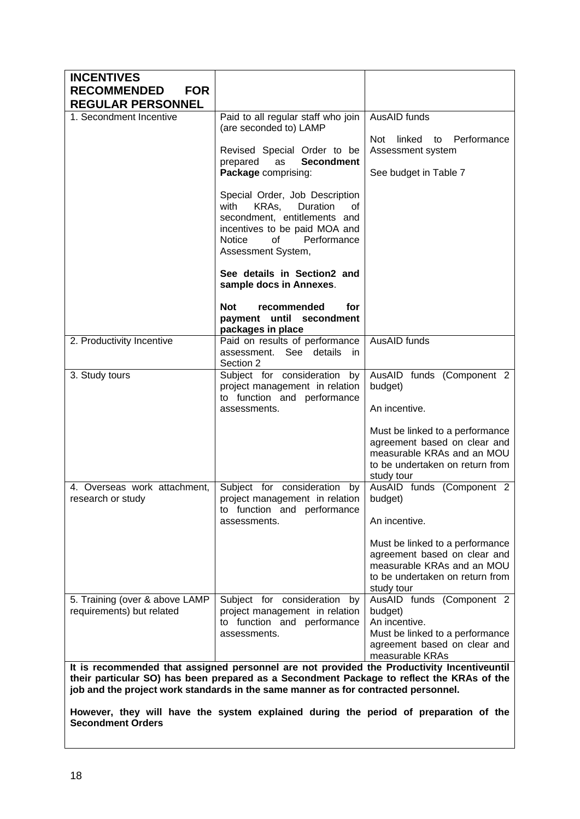| <b>INCENTIVES</b>                                           |                                                                                                                                                                                                                                                                               |                                                                                                                                                |
|-------------------------------------------------------------|-------------------------------------------------------------------------------------------------------------------------------------------------------------------------------------------------------------------------------------------------------------------------------|------------------------------------------------------------------------------------------------------------------------------------------------|
| <b>RECOMMENDED</b><br><b>FOR</b>                            |                                                                                                                                                                                                                                                                               |                                                                                                                                                |
| <b>REGULAR PERSONNEL</b>                                    |                                                                                                                                                                                                                                                                               |                                                                                                                                                |
| 1. Secondment Incentive                                     | Paid to all regular staff who join<br>(are seconded to) LAMP                                                                                                                                                                                                                  | AusAID funds                                                                                                                                   |
|                                                             | Revised Special Order to be<br>as<br><b>Secondment</b><br>prepared                                                                                                                                                                                                            | linked to<br>Performance<br>Not<br>Assessment system                                                                                           |
|                                                             | Package comprising:                                                                                                                                                                                                                                                           | See budget in Table 7                                                                                                                          |
|                                                             | Special Order, Job Description<br>KRAs,<br>with<br><b>Duration</b><br>οf<br>secondment, entitlements and<br>incentives to be paid MOA and<br><b>Notice</b><br>0f<br>Performance<br>Assessment System,                                                                         |                                                                                                                                                |
|                                                             | See details in Section2 and<br>sample docs in Annexes.                                                                                                                                                                                                                        |                                                                                                                                                |
|                                                             | Not<br>recommended<br>for<br>payment until secondment<br>packages in place                                                                                                                                                                                                    |                                                                                                                                                |
| 2. Productivity Incentive                                   | Paid on results of performance<br>assessment. See details<br><i>in</i><br>Section 2                                                                                                                                                                                           | AusAID funds                                                                                                                                   |
| 3. Study tours                                              | Subject for consideration<br>by<br>project management in relation<br>to function and performance                                                                                                                                                                              | AusAID funds (Component 2<br>budget)                                                                                                           |
|                                                             | assessments.                                                                                                                                                                                                                                                                  | An incentive.                                                                                                                                  |
|                                                             |                                                                                                                                                                                                                                                                               | Must be linked to a performance<br>agreement based on clear and<br>measurable KRAs and an MOU<br>to be undertaken on return from<br>study tour |
| 4. Overseas work attachment,<br>research or study           | Subject for consideration<br>by<br>project management in relation<br>to function and performance                                                                                                                                                                              | AusAID funds (Component 2<br>budget)                                                                                                           |
|                                                             | assessments.                                                                                                                                                                                                                                                                  | An incentive.                                                                                                                                  |
|                                                             |                                                                                                                                                                                                                                                                               | Must be linked to a performance<br>agreement based on clear and<br>measurable KRAs and an MOU<br>to be undertaken on return from<br>study tour |
| 5. Training (over & above LAMP<br>requirements) but related | Subject for consideration<br>by<br>project management in relation<br>to function and performance<br>assessments.                                                                                                                                                              | AusAID funds (Component 2<br>budget)<br>An incentive.<br>Must be linked to a performance<br>agreement based on clear and<br>measurable KRAs    |
|                                                             | It is recommended that assigned personnel are not provided the Productivity Incentiveuntil<br>their particular SO) has been prepared as a Secondment Package to reflect the KRAs of the<br>job and the project work standards in the same manner as for contracted personnel. |                                                                                                                                                |

**However, they will have the system explained during the period of preparation of the Secondment Orders**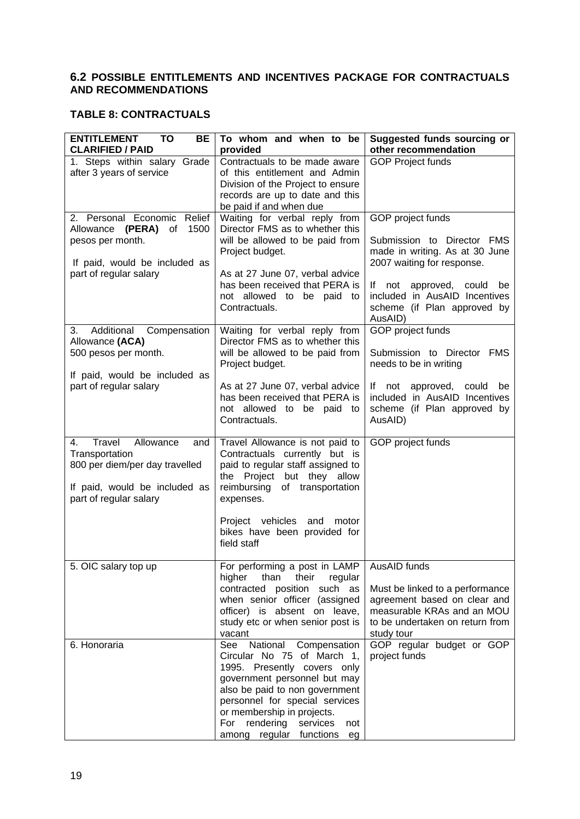#### **6.2 POSSIBLE ENTITLEMENTS AND INCENTIVES PACKAGE FOR CONTRACTUALS AND RECOMMENDATIONS**

#### **TABLE 8: CONTRACTUALS**

| <b>ENTITLEMENT</b><br>TO<br>BE                          | To whom and when to be                             | Suggested funds sourcing or                                  |
|---------------------------------------------------------|----------------------------------------------------|--------------------------------------------------------------|
| <b>CLARIFIED / PAID</b><br>1. Steps within salary Grade | provided<br>Contractuals to be made aware          | other recommendation<br><b>GOP Project funds</b>             |
| after 3 years of service                                | of this entitlement and Admin                      |                                                              |
|                                                         | Division of the Project to ensure                  |                                                              |
|                                                         | records are up to date and this                    |                                                              |
|                                                         | be paid if and when due                            |                                                              |
| 2. Personal Economic Relief                             | Waiting for verbal reply from                      | GOP project funds                                            |
| Allowance (PERA) of<br>1500                             | Director FMS as to whether this                    |                                                              |
| pesos per month.                                        | will be allowed to be paid from<br>Project budget. | Submission to Director FMS<br>made in writing. As at 30 June |
| If paid, would be included as                           |                                                    | 2007 waiting for response.                                   |
| part of regular salary                                  | As at 27 June 07, verbal advice                    |                                                              |
|                                                         | has been received that PERA is                     | If not approved, could<br>be                                 |
|                                                         | not allowed to be paid to                          | included in AusAID Incentives                                |
|                                                         | Contractuals.                                      | scheme (if Plan approved by<br>AusAID)                       |
| Additional Compensation<br>3.                           | Waiting for verbal reply from                      | GOP project funds                                            |
| Allowance (ACA)                                         | Director FMS as to whether this                    |                                                              |
| 500 pesos per month.                                    | will be allowed to be paid from                    | Submission to Director FMS                                   |
| If paid, would be included as                           | Project budget.                                    | needs to be in writing                                       |
| part of regular salary                                  | As at 27 June 07, verbal advice                    | If not approved, could<br>be                                 |
|                                                         | has been received that PERA is                     | included in AusAID Incentives                                |
|                                                         | not allowed to be paid to                          | scheme (if Plan approved by                                  |
|                                                         | Contractuals.                                      | AusAID)                                                      |
| Allowance<br>Travel<br>4.<br>and                        | Travel Allowance is not paid to                    | GOP project funds                                            |
| Transportation                                          | Contractuals currently but is                      |                                                              |
| 800 per diem/per day travelled                          | paid to regular staff assigned to                  |                                                              |
|                                                         | the Project but they allow                         |                                                              |
| If paid, would be included as                           | reimbursing of transportation                      |                                                              |
| part of regular salary                                  | expenses.                                          |                                                              |
|                                                         | Project vehicles and motor                         |                                                              |
|                                                         | bikes have been provided for                       |                                                              |
|                                                         | field staff                                        |                                                              |
| 5. OIC salary top up                                    | For performing a post in LAMP   AusAID funds       |                                                              |
|                                                         | higher<br>than their<br>regular                    |                                                              |
|                                                         | contracted position such as                        | Must be linked to a performance                              |
|                                                         | when senior officer (assigned                      | agreement based on clear and                                 |
|                                                         | officer) is absent on leave,                       | measurable KRAs and an MOU                                   |
|                                                         | study etc or when senior post is<br>vacant         | to be undertaken on return from                              |
| 6. Honoraria                                            | See National Compensation                          | study tour<br>GOP regular budget or GOP                      |
|                                                         | Circular No 75 of March 1,                         | project funds                                                |
|                                                         | 1995. Presently covers only                        |                                                              |
|                                                         | government personnel but may                       |                                                              |
|                                                         | also be paid to non government                     |                                                              |
|                                                         | personnel for special services                     |                                                              |
|                                                         | or membership in projects.                         |                                                              |
|                                                         | For rendering services<br>not                      |                                                              |
|                                                         | among regular functions<br>eg                      |                                                              |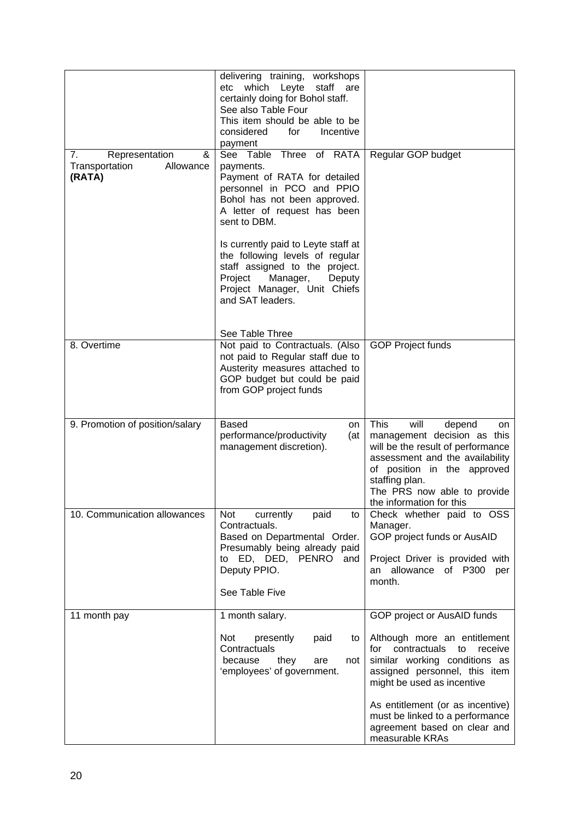| 7.<br>Representation<br>&             | delivering training, workshops<br>etc which Leyte<br>staff are<br>certainly doing for Bohol staff.<br>See also Table Four<br>This item should be able to be<br>considered<br>for<br>Incentive<br>payment<br>See Table Three of RATA                                                                                                                     | Regular GOP budget                                                                                                                                                                                                                                                                             |
|---------------------------------------|---------------------------------------------------------------------------------------------------------------------------------------------------------------------------------------------------------------------------------------------------------------------------------------------------------------------------------------------------------|------------------------------------------------------------------------------------------------------------------------------------------------------------------------------------------------------------------------------------------------------------------------------------------------|
| Transportation<br>Allowance<br>(RATA) | payments.<br>Payment of RATA for detailed<br>personnel in PCO and PPIO<br>Bohol has not been approved.<br>A letter of request has been<br>sent to DBM.<br>Is currently paid to Leyte staff at<br>the following levels of regular<br>staff assigned to the project.<br>Manager,<br>Project<br>Deputy<br>Project Manager, Unit Chiefs<br>and SAT leaders. |                                                                                                                                                                                                                                                                                                |
| 8. Overtime                           | See Table Three<br>Not paid to Contractuals. (Also                                                                                                                                                                                                                                                                                                      | <b>GOP Project funds</b>                                                                                                                                                                                                                                                                       |
|                                       | not paid to Regular staff due to<br>Austerity measures attached to<br>GOP budget but could be paid<br>from GOP project funds                                                                                                                                                                                                                            |                                                                                                                                                                                                                                                                                                |
| 9. Promotion of position/salary       | <b>Based</b><br>on<br>performance/productivity<br>(at<br>management discretion).                                                                                                                                                                                                                                                                        | <b>This</b><br>will<br>depend<br>on<br>management decision as this<br>will be the result of performance<br>assessment and the availability<br>of position in the approved<br>staffing plan.<br>The PRS now able to provide<br>the information for this                                         |
| 10. Communication allowances          | Not<br>paid<br>currently<br>to<br>Contractuals.<br>Based on Departmental Order.<br>Presumably being already paid<br>to ED, DED, PENRO and<br>Deputy PPIO.<br>See Table Five                                                                                                                                                                             | Check whether paid to OSS<br>Manager.<br>GOP project funds or AusAID<br>Project Driver is provided with<br>an allowance of P300 per<br>month.                                                                                                                                                  |
| 11 month pay                          | 1 month salary.                                                                                                                                                                                                                                                                                                                                         | GOP project or AusAID funds                                                                                                                                                                                                                                                                    |
|                                       | Not<br>presently<br>paid<br>to<br>Contractuals<br>because<br>they<br>are<br>not<br>'employees' of government.                                                                                                                                                                                                                                           | Although more an entitlement<br>contractuals<br>receive<br>to<br>for<br>similar working conditions as<br>assigned personnel, this item<br>might be used as incentive<br>As entitlement (or as incentive)<br>must be linked to a performance<br>agreement based on clear and<br>measurable KRAs |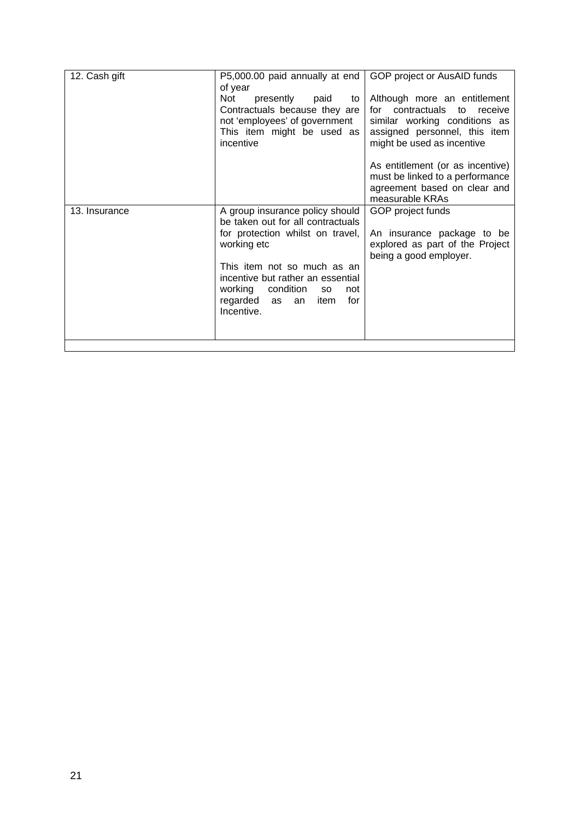| 12. Cash gift | P5,000.00 paid annually at end                                                                                                                                 | GOP project or AusAID funds                                                                                                                                    |  |
|---------------|----------------------------------------------------------------------------------------------------------------------------------------------------------------|----------------------------------------------------------------------------------------------------------------------------------------------------------------|--|
|               | of year<br>Not<br>presently<br>paid<br>to<br>Contractuals because they are<br>not 'employees' of government<br>This item might be used as<br>incentive         | Although more an entitlement<br>for contractuals to<br>receive<br>similar working conditions as<br>assigned personnel, this item<br>might be used as incentive |  |
|               |                                                                                                                                                                | As entitlement (or as incentive)<br>must be linked to a performance<br>agreement based on clear and<br>measurable KRAs                                         |  |
| 13. Insurance | A group insurance policy should<br>be taken out for all contractuals                                                                                           | GOP project funds                                                                                                                                              |  |
|               | for protection whilst on travel,<br>working etc                                                                                                                | An insurance package to be<br>explored as part of the Project<br>being a good employer.                                                                        |  |
|               | This item not so much as an<br>incentive but rather an essential<br>working<br>condition<br>not<br><b>SO</b><br>regarded as<br>for<br>item<br>an<br>Incentive. |                                                                                                                                                                |  |
|               |                                                                                                                                                                |                                                                                                                                                                |  |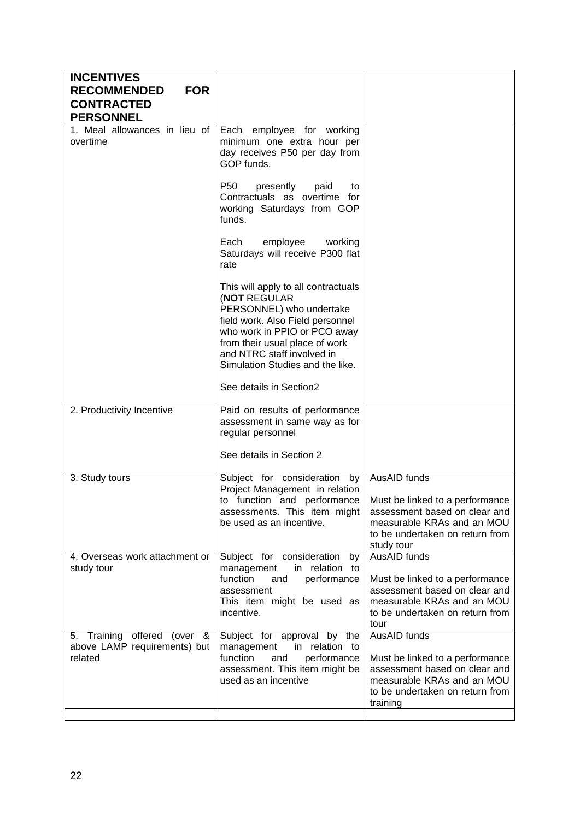| <b>INCENTIVES</b><br><b>RECOMMENDED</b><br><b>FOR</b>                     |                                                                                                                                                                                                                                                               |                                                                                                                                                                 |
|---------------------------------------------------------------------------|---------------------------------------------------------------------------------------------------------------------------------------------------------------------------------------------------------------------------------------------------------------|-----------------------------------------------------------------------------------------------------------------------------------------------------------------|
| <b>CONTRACTED</b><br><b>PERSONNEL</b>                                     |                                                                                                                                                                                                                                                               |                                                                                                                                                                 |
| 1. Meal allowances in lieu of<br>overtime                                 | Each employee for working<br>minimum one extra hour per<br>day receives P50 per day from<br>GOP funds.                                                                                                                                                        |                                                                                                                                                                 |
|                                                                           | P <sub>50</sub><br>presently<br>paid<br>to<br>Contractuals as overtime for<br>working Saturdays from GOP<br>funds.                                                                                                                                            |                                                                                                                                                                 |
|                                                                           | Each<br>employee<br>working<br>Saturdays will receive P300 flat<br>rate                                                                                                                                                                                       |                                                                                                                                                                 |
|                                                                           | This will apply to all contractuals<br><b>NOT REGULAR</b><br>PERSONNEL) who undertake<br>field work. Also Field personnel<br>who work in PPIO or PCO away<br>from their usual place of work<br>and NTRC staff involved in<br>Simulation Studies and the like. |                                                                                                                                                                 |
|                                                                           | See details in Section2                                                                                                                                                                                                                                       |                                                                                                                                                                 |
| 2. Productivity Incentive                                                 | Paid on results of performance<br>assessment in same way as for<br>regular personnel                                                                                                                                                                          |                                                                                                                                                                 |
|                                                                           | See details in Section 2                                                                                                                                                                                                                                      |                                                                                                                                                                 |
| 3. Study tours                                                            | Subject for consideration<br>by<br>Project Management in relation<br>to function and performance<br>assessments. This item might<br>be used as an incentive.                                                                                                  | AusAID funds<br>Must be linked to a performance<br>assessment based on clear and<br>measurable KRAs and an MOU<br>to be undertaken on return from<br>study tour |
| 4. Overseas work attachment or<br>study tour                              | Subject for consideration<br>by<br>in relation to<br>management<br>function<br>performance<br>and<br>assessment<br>This item might be used as<br>incentive.                                                                                                   | AusAID funds<br>Must be linked to a performance<br>assessment based on clear and<br>measurable KRAs and an MOU<br>to be undertaken on return from<br>tour       |
| 5. Training offered (over<br>&<br>above LAMP requirements) but<br>related | Subject for approval by the<br>management<br>in relation to<br>function<br>and<br>performance<br>assessment. This item might be<br>used as an incentive                                                                                                       | AusAID funds<br>Must be linked to a performance<br>assessment based on clear and<br>measurable KRAs and an MOU<br>to be undertaken on return from<br>training   |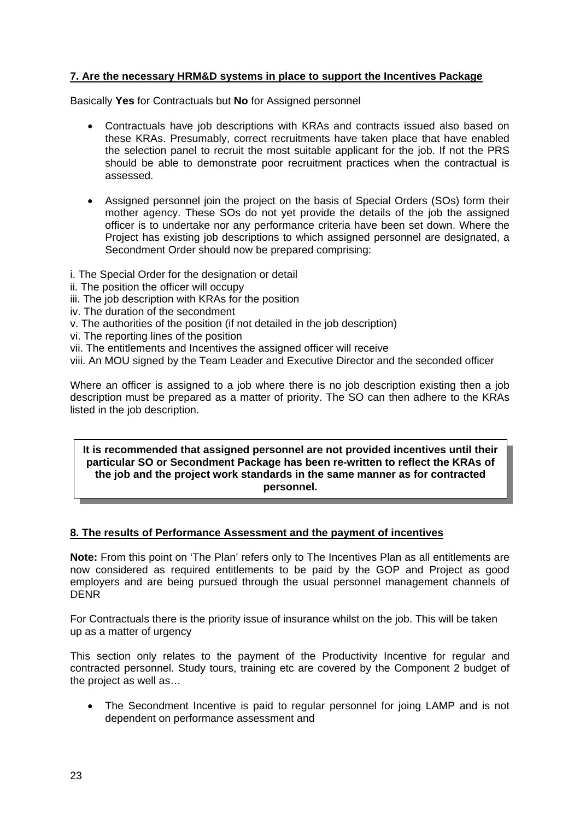#### **7. Are the necessary HRM&D systems in place to support the Incentives Package**

Basically **Yes** for Contractuals but **No** for Assigned personnel

- Contractuals have job descriptions with KRAs and contracts issued also based on these KRAs. Presumably, correct recruitments have taken place that have enabled the selection panel to recruit the most suitable applicant for the job. If not the PRS should be able to demonstrate poor recruitment practices when the contractual is assessed.
- Assigned personnel join the project on the basis of Special Orders (SOs) form their mother agency. These SOs do not yet provide the details of the job the assigned officer is to undertake nor any performance criteria have been set down. Where the Project has existing job descriptions to which assigned personnel are designated, a Secondment Order should now be prepared comprising:
- i. The Special Order for the designation or detail
- ii. The position the officer will occupy
- iii. The job description with KRAs for the position
- iv. The duration of the secondment
- v. The authorities of the position (if not detailed in the job description)
- vi. The reporting lines of the position
- vii. The entitlements and Incentives the assigned officer will receive

viii. An MOU signed by the Team Leader and Executive Director and the seconded officer

Where an officer is assigned to a job where there is no job description existing then a job description must be prepared as a matter of priority. The SO can then adhere to the KRAs listed in the job description.

#### **It is recommended that assigned personnel are not provided incentives until their particular SO or Secondment Package has been re-written to reflect the KRAs of the job and the project work standards in the same manner as for contracted personnel.**

#### **8. The results of Performance Assessment and the payment of incentives**

**Note:** From this point on 'The Plan' refers only to The Incentives Plan as all entitlements are now considered as required entitlements to be paid by the GOP and Project as good employers and are being pursued through the usual personnel management channels of DENR

For Contractuals there is the priority issue of insurance whilst on the job. This will be taken up as a matter of urgency

This section only relates to the payment of the Productivity Incentive for regular and contracted personnel. Study tours, training etc are covered by the Component 2 budget of the project as well as…

• The Secondment Incentive is paid to regular personnel for joing LAMP and is not dependent on performance assessment and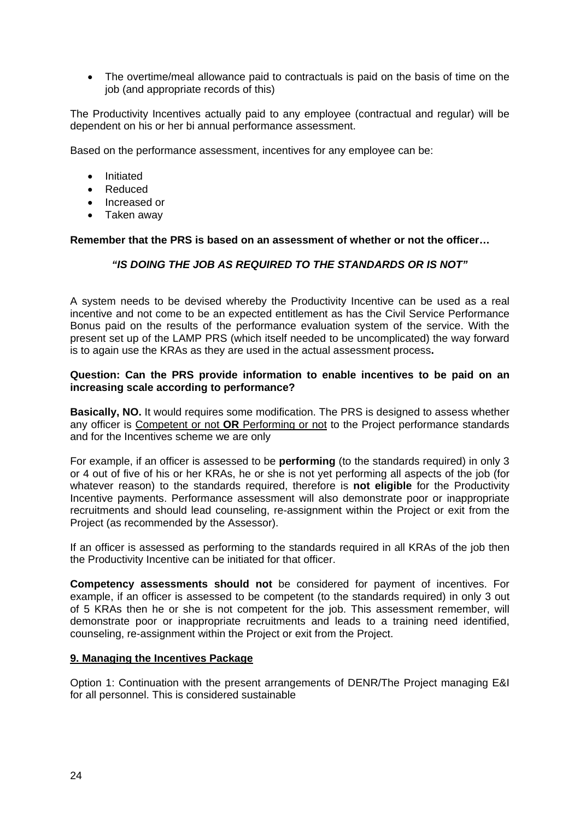• The overtime/meal allowance paid to contractuals is paid on the basis of time on the job (and appropriate records of this)

The Productivity Incentives actually paid to any employee (contractual and regular) will be dependent on his or her bi annual performance assessment.

Based on the performance assessment, incentives for any employee can be:

- Initiated
- Reduced
- Increased or
- Taken away

**Remember that the PRS is based on an assessment of whether or not the officer…** 

#### *"IS DOING THE JOB AS REQUIRED TO THE STANDARDS OR IS NOT"*

A system needs to be devised whereby the Productivity Incentive can be used as a real incentive and not come to be an expected entitlement as has the Civil Service Performance Bonus paid on the results of the performance evaluation system of the service. With the present set up of the LAMP PRS (which itself needed to be uncomplicated) the way forward is to again use the KRAs as they are used in the actual assessment process**.** 

#### **Question: Can the PRS provide information to enable incentives to be paid on an increasing scale according to performance?**

**Basically, NO.** It would requires some modification. The PRS is designed to assess whether any officer is Competent or not **OR** Performing or not to the Project performance standards and for the Incentives scheme we are only

For example, if an officer is assessed to be **performing** (to the standards required) in only 3 or 4 out of five of his or her KRAs, he or she is not yet performing all aspects of the job (for whatever reason) to the standards required, therefore is **not eligible** for the Productivity Incentive payments. Performance assessment will also demonstrate poor or inappropriate recruitments and should lead counseling, re-assignment within the Project or exit from the Project (as recommended by the Assessor).

If an officer is assessed as performing to the standards required in all KRAs of the job then the Productivity Incentive can be initiated for that officer.

**Competency assessments should not** be considered for payment of incentives. For example, if an officer is assessed to be competent (to the standards required) in only 3 out of 5 KRAs then he or she is not competent for the job. This assessment remember, will demonstrate poor or inappropriate recruitments and leads to a training need identified, counseling, re-assignment within the Project or exit from the Project.

#### **9. Managing the Incentives Package**

Option 1: Continuation with the present arrangements of DENR/The Project managing E&I for all personnel. This is considered sustainable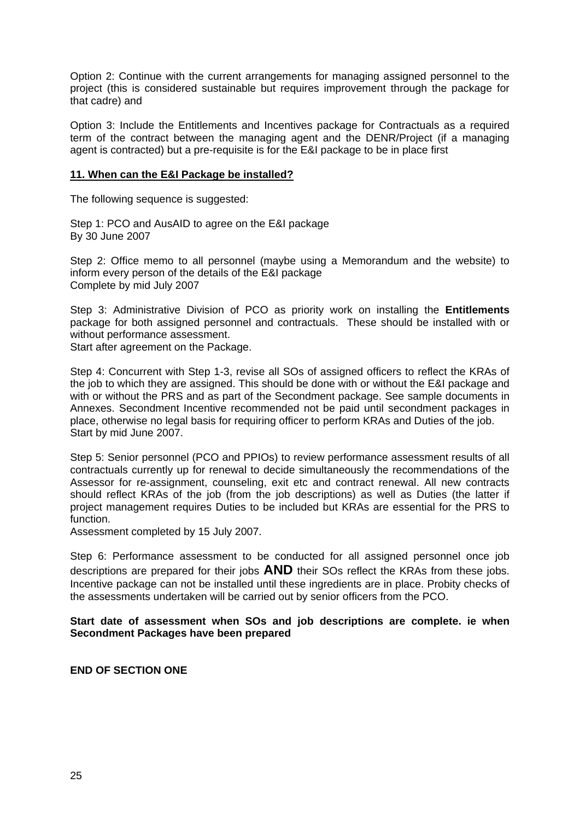Option 2: Continue with the current arrangements for managing assigned personnel to the project (this is considered sustainable but requires improvement through the package for that cadre) and

Option 3: Include the Entitlements and Incentives package for Contractuals as a required term of the contract between the managing agent and the DENR/Project (if a managing agent is contracted) but a pre-requisite is for the E&I package to be in place first

#### **11. When can the E&I Package be installed?**

The following sequence is suggested:

Step 1: PCO and AusAID to agree on the E&I package By 30 June 2007

Step 2: Office memo to all personnel (maybe using a Memorandum and the website) to inform every person of the details of the E&I package Complete by mid July 2007

Step 3: Administrative Division of PCO as priority work on installing the **Entitlements** package for both assigned personnel and contractuals. These should be installed with or without performance assessment.

Start after agreement on the Package.

Step 4: Concurrent with Step 1-3, revise all SOs of assigned officers to reflect the KRAs of the job to which they are assigned. This should be done with or without the E&I package and with or without the PRS and as part of the Secondment package. See sample documents in Annexes. Secondment Incentive recommended not be paid until secondment packages in place, otherwise no legal basis for requiring officer to perform KRAs and Duties of the job. Start by mid June 2007.

Step 5: Senior personnel (PCO and PPIOs) to review performance assessment results of all contractuals currently up for renewal to decide simultaneously the recommendations of the Assessor for re-assignment, counseling, exit etc and contract renewal. All new contracts should reflect KRAs of the job (from the job descriptions) as well as Duties (the latter if project management requires Duties to be included but KRAs are essential for the PRS to function.

Assessment completed by 15 July 2007.

Step 6: Performance assessment to be conducted for all assigned personnel once job descriptions are prepared for their jobs **AND** their SOs reflect the KRAs from these jobs. Incentive package can not be installed until these ingredients are in place. Probity checks of the assessments undertaken will be carried out by senior officers from the PCO.

**Start date of assessment when SOs and job descriptions are complete. ie when Secondment Packages have been prepared** 

**END OF SECTION ONE**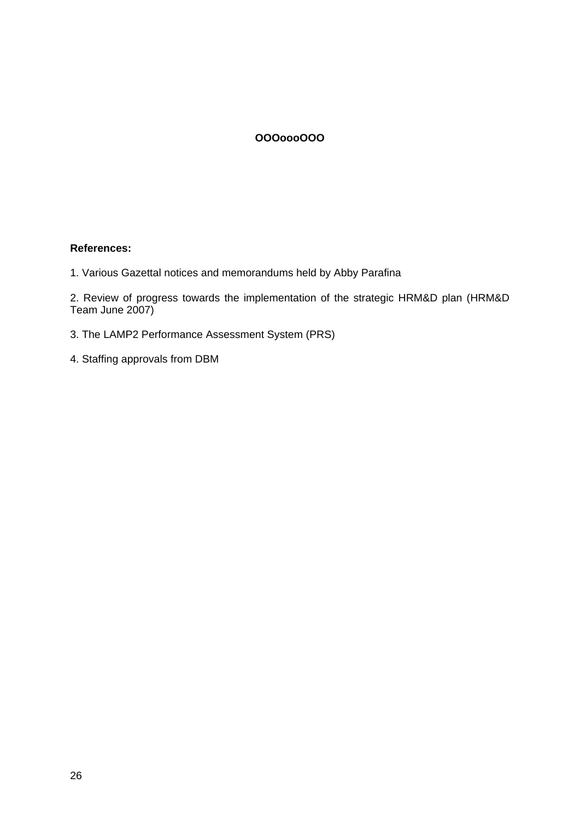#### **OOOoooOOO**

#### **References:**

1. Various Gazettal notices and memorandums held by Abby Parafina

2. Review of progress towards the implementation of the strategic HRM&D plan (HRM&D Team June 2007)

- 3. The LAMP2 Performance Assessment System (PRS)
- 4. Staffing approvals from DBM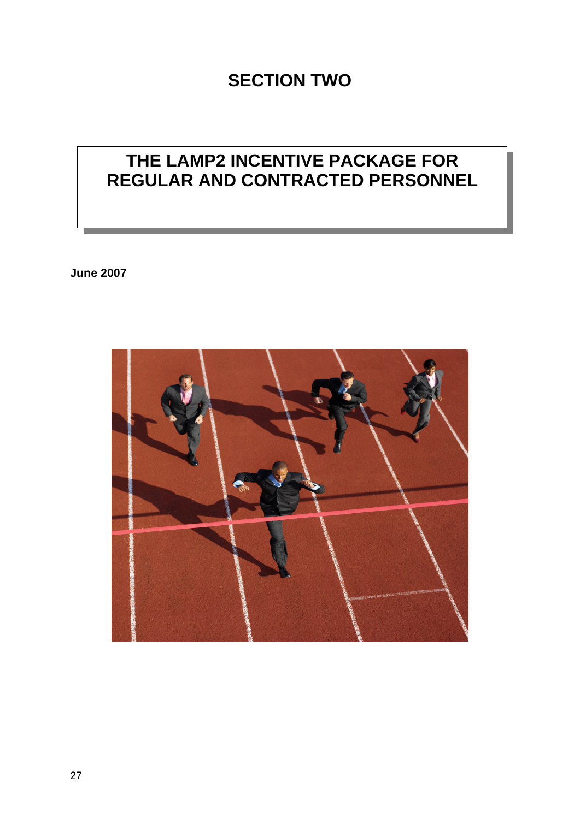## **SECTION TWO**

## **THE LAMP2 INCENTIVE PACKAGE FOR REGULAR AND CONTRACTED PERSONNEL**

**June 2007** 

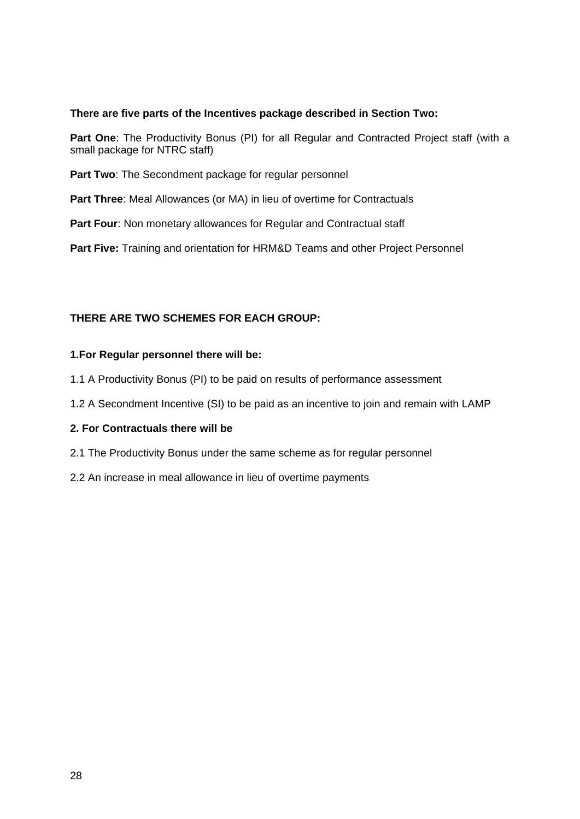#### **There are five parts of the Incentives package described in Section Two:**

Part One: The Productivity Bonus (PI) for all Regular and Contracted Project staff (with a small package for NTRC staff)

Part Two: The Secondment package for regular personnel

**Part Three**: Meal Allowances (or MA) in lieu of overtime for Contractuals

Part Four: Non monetary allowances for Regular and Contractual staff

**Part Five:** Training and orientation for HRM&D Teams and other Project Personnel

#### **THERE ARE TWO SCHEMES FOR EACH GROUP:**

#### **1.For Regular personnel there will be:**

- 1.1 A Productivity Bonus (PI) to be paid on results of performance assessment
- 1.2 A Secondment Incentive (SI) to be paid as an incentive to join and remain with LAMP

#### **2. For Contractuals there will be**

- 2.1 The Productivity Bonus under the same scheme as for regular personnel
- 2.2 An increase in meal allowance in lieu of overtime payments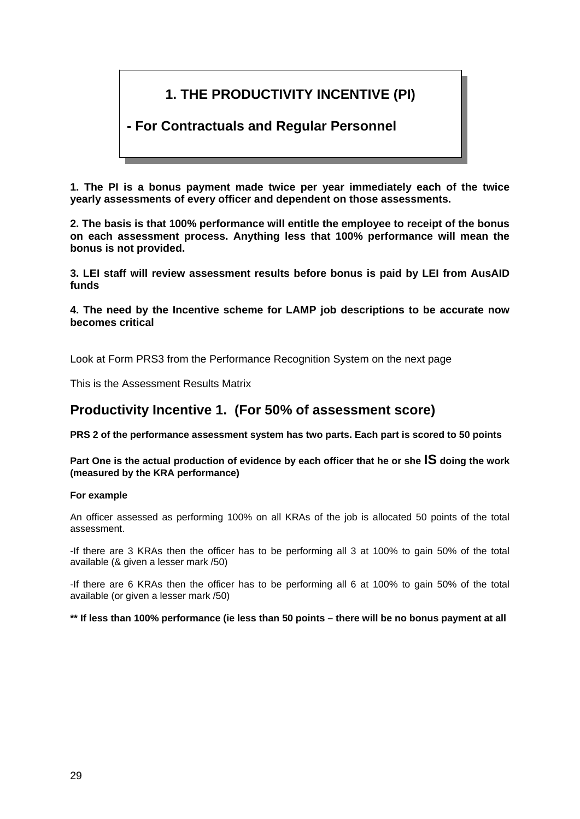## **1. THE PRODUCTIVITY INCENTIVE (PI)**

## **- For Contractuals and Regular Personnel**

**1. The PI is a bonus payment made twice per year immediately each of the twice yearly assessments of every officer and dependent on those assessments.** 

**2. The basis is that 100% performance will entitle the employee to receipt of the bonus on each assessment process. Anything less that 100% performance will mean the bonus is not provided.** 

**3. LEI staff will review assessment results before bonus is paid by LEI from AusAID funds** 

**4. The need by the Incentive scheme for LAMP job descriptions to be accurate now becomes critical** 

Look at Form PRS3 from the Performance Recognition System on the next page

This is the Assessment Results Matrix

### **Productivity Incentive 1. (For 50% of assessment score)**

**PRS 2 of the performance assessment system has two parts. Each part is scored to 50 points** 

**Part One is the actual production of evidence by each officer that he or she IS doing the work (measured by the KRA performance)** 

#### **For example**

An officer assessed as performing 100% on all KRAs of the job is allocated 50 points of the total assessment.

-If there are 3 KRAs then the officer has to be performing all 3 at 100% to gain 50% of the total available (& given a lesser mark /50)

-If there are 6 KRAs then the officer has to be performing all 6 at 100% to gain 50% of the total available (or given a lesser mark /50)

**\*\* If less than 100% performance (ie less than 50 points – there will be no bonus payment at all**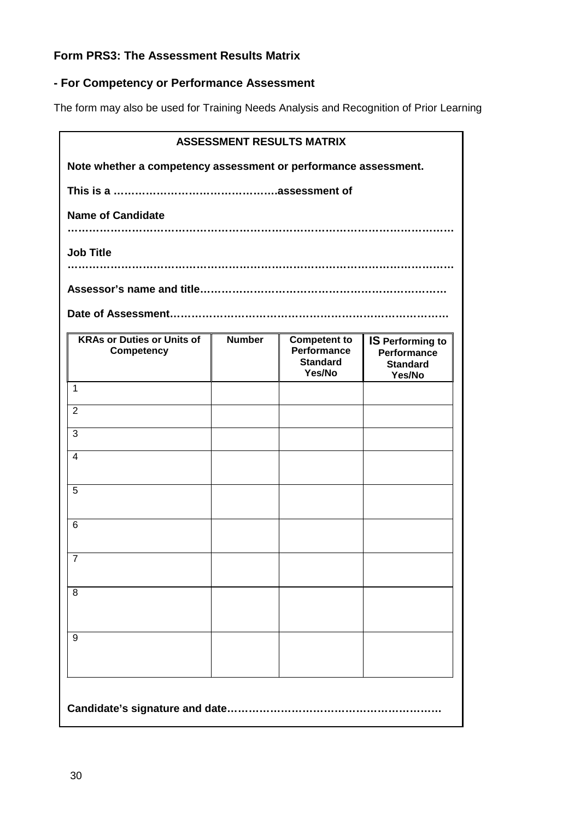### **Form PRS3: The Assessment Results Matrix**

### **- For Competency or Performance Assessment**

The form may also be used for Training Needs Analysis and Recognition of Prior Learning

|                                                                 |               | <b>ASSESSMENT RESULTS MATRIX</b>                                |                                                                            |  |
|-----------------------------------------------------------------|---------------|-----------------------------------------------------------------|----------------------------------------------------------------------------|--|
| Note whether a competency assessment or performance assessment. |               |                                                                 |                                                                            |  |
|                                                                 |               |                                                                 |                                                                            |  |
| <b>Name of Candidate</b>                                        |               |                                                                 |                                                                            |  |
|                                                                 |               |                                                                 |                                                                            |  |
| <b>Job Title</b>                                                |               |                                                                 |                                                                            |  |
|                                                                 |               |                                                                 |                                                                            |  |
|                                                                 |               |                                                                 |                                                                            |  |
| <b>KRAs or Duties or Units of</b><br><b>Competency</b>          | <b>Number</b> | Competent to<br><b>Performance</b><br><b>Standard</b><br>Yes/No | <b>IS Performing to</b><br><b>Performance</b><br><b>Standard</b><br>Yes/No |  |
| $\mathbf{1}$                                                    |               |                                                                 |                                                                            |  |
| $\overline{2}$                                                  |               |                                                                 |                                                                            |  |
| 3                                                               |               |                                                                 |                                                                            |  |
| $\overline{4}$                                                  |               |                                                                 |                                                                            |  |
| 5                                                               |               |                                                                 |                                                                            |  |
| 6                                                               |               |                                                                 |                                                                            |  |
| $\overline{7}$                                                  |               |                                                                 |                                                                            |  |
| 8                                                               |               |                                                                 |                                                                            |  |
| 9                                                               |               |                                                                 |                                                                            |  |
| Candidate's signature and date                                  |               |                                                                 |                                                                            |  |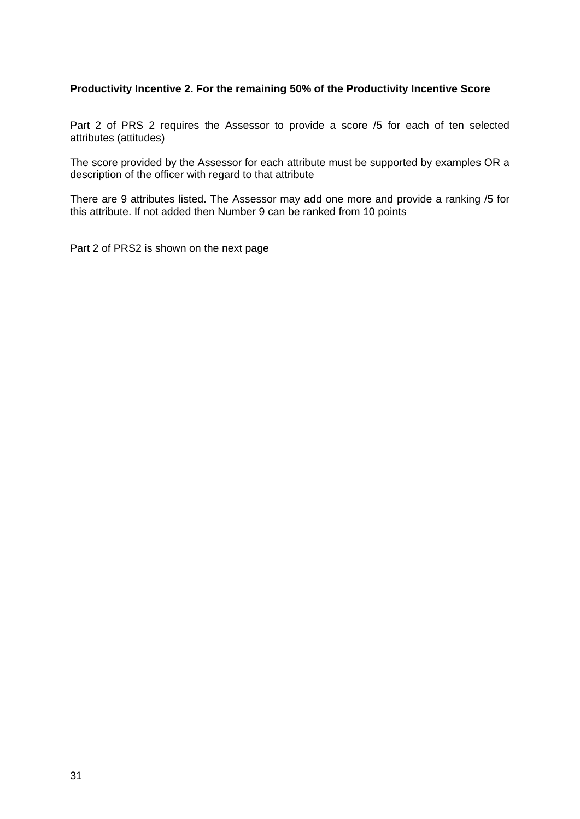#### **Productivity Incentive 2. For the remaining 50% of the Productivity Incentive Score**

Part 2 of PRS 2 requires the Assessor to provide a score /5 for each of ten selected attributes (attitudes)

The score provided by the Assessor for each attribute must be supported by examples OR a description of the officer with regard to that attribute

There are 9 attributes listed. The Assessor may add one more and provide a ranking /5 for this attribute. If not added then Number 9 can be ranked from 10 points

Part 2 of PRS2 is shown on the next page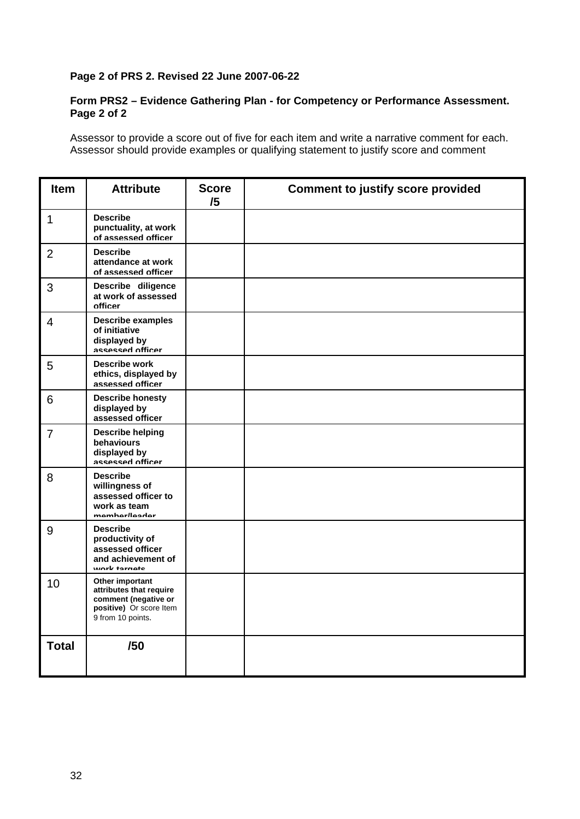#### **Page 2 of PRS 2. Revised 22 June 2007-06-22**

#### **Form PRS2 – Evidence Gathering Plan - for Competency or Performance Assessment. Page 2 of 2**

Assessor to provide a score out of five for each item and write a narrative comment for each. Assessor should provide examples or qualifying statement to justify score and comment

| <b>Item</b>    | <b>Attribute</b>                                                                                                   | <b>Score</b><br>/5 | <b>Comment to justify score provided</b> |
|----------------|--------------------------------------------------------------------------------------------------------------------|--------------------|------------------------------------------|
| $\mathbf{1}$   | <b>Describe</b><br>punctuality, at work<br>of assessed officer                                                     |                    |                                          |
| 2              | <b>Describe</b><br>attendance at work<br>of assessed officer                                                       |                    |                                          |
| 3              | Describe diligence<br>at work of assessed<br>officer                                                               |                    |                                          |
| 4              | <b>Describe examples</b><br>of initiative<br>displayed by<br>assessed officer                                      |                    |                                          |
| 5              | <b>Describe work</b><br>ethics, displayed by<br>assessed officer                                                   |                    |                                          |
| 6              | <b>Describe honesty</b><br>displayed by<br>assessed officer                                                        |                    |                                          |
| $\overline{7}$ | <b>Describe helping</b><br>behaviours<br>displayed by<br>assessed officer                                          |                    |                                          |
| 8              | <b>Describe</b><br>willingness of<br>assessed officer to<br>work as team<br>mamhar/laadar                          |                    |                                          |
| 9              | <b>Describe</b><br>productivity of<br>assessed officer<br>and achievement of<br>work tarnate                       |                    |                                          |
| 10             | Other important<br>attributes that require<br>comment (negative or<br>positive) Or score Item<br>9 from 10 points. |                    |                                          |
| <b>Total</b>   | /50                                                                                                                |                    |                                          |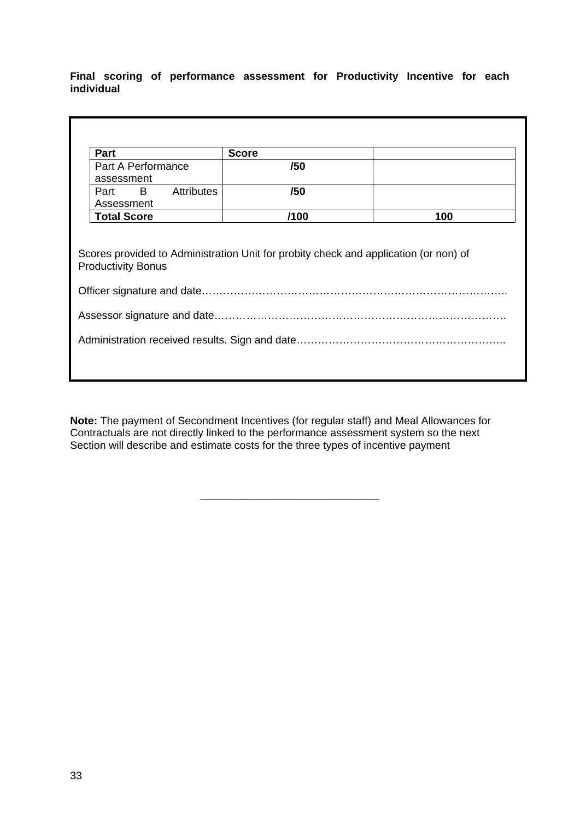**Final scoring of performance assessment for Productivity Incentive for each individual** 

| <b>Part</b>                                                                                                       | <b>Score</b> |     |  |  |
|-------------------------------------------------------------------------------------------------------------------|--------------|-----|--|--|
| Part A Performance                                                                                                | /50          |     |  |  |
| assessment                                                                                                        |              |     |  |  |
| $\overline{B}$<br><b>Attributes</b><br>Part                                                                       | /50          |     |  |  |
| Assessment                                                                                                        |              |     |  |  |
| <b>Total Score</b>                                                                                                | /100         | 100 |  |  |
| Scores provided to Administration Unit for probity check and application (or non) of<br><b>Productivity Bonus</b> |              |     |  |  |
|                                                                                                                   |              |     |  |  |
|                                                                                                                   |              |     |  |  |

**Note:** The payment of Secondment Incentives (for regular staff) and Meal Allowances for Contractuals are not directly linked to the performance assessment system so the next Section will describe and estimate costs for the three types of incentive payment

\_\_\_\_\_\_\_\_\_\_\_\_\_\_\_\_\_\_\_\_\_\_\_\_\_\_\_\_\_\_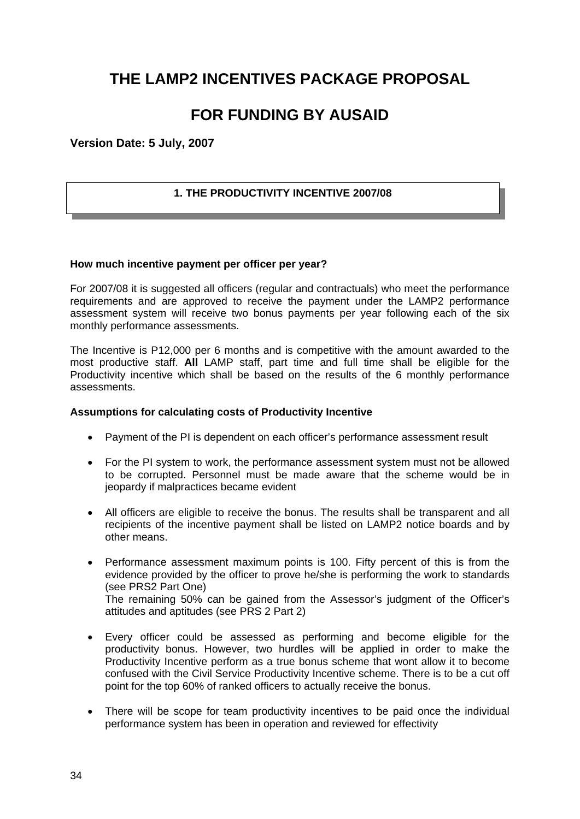## **THE LAMP2 INCENTIVES PACKAGE PROPOSAL**

## **FOR FUNDING BY AUSAID**

**Version Date: 5 July, 2007** 

#### **1. THE PRODUCTIVITY INCENTIVE 2007/08**

#### **How much incentive payment per officer per year?**

For 2007/08 it is suggested all officers (regular and contractuals) who meet the performance requirements and are approved to receive the payment under the LAMP2 performance assessment system will receive two bonus payments per year following each of the six monthly performance assessments.

The Incentive is P12,000 per 6 months and is competitive with the amount awarded to the most productive staff. **All** LAMP staff, part time and full time shall be eligible for the Productivity incentive which shall be based on the results of the 6 monthly performance assessments.

#### **Assumptions for calculating costs of Productivity Incentive**

- Payment of the PI is dependent on each officer's performance assessment result
- For the PI system to work, the performance assessment system must not be allowed to be corrupted. Personnel must be made aware that the scheme would be in jeopardy if malpractices became evident
- All officers are eligible to receive the bonus. The results shall be transparent and all recipients of the incentive payment shall be listed on LAMP2 notice boards and by other means.
- Performance assessment maximum points is 100. Fifty percent of this is from the evidence provided by the officer to prove he/she is performing the work to standards (see PRS2 Part One) The remaining 50% can be gained from the Assessor's judgment of the Officer's attitudes and aptitudes (see PRS 2 Part 2)
- Every officer could be assessed as performing and become eligible for the productivity bonus. However, two hurdles will be applied in order to make the Productivity Incentive perform as a true bonus scheme that wont allow it to become confused with the Civil Service Productivity Incentive scheme. There is to be a cut off point for the top 60% of ranked officers to actually receive the bonus.
- There will be scope for team productivity incentives to be paid once the individual performance system has been in operation and reviewed for effectivity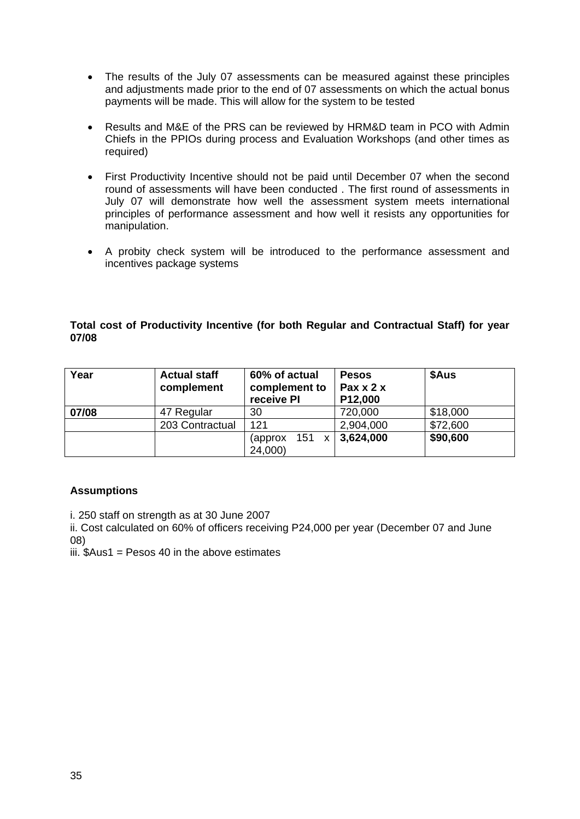- The results of the July 07 assessments can be measured against these principles and adjustments made prior to the end of 07 assessments on which the actual bonus payments will be made. This will allow for the system to be tested
- Results and M&E of the PRS can be reviewed by HRM&D team in PCO with Admin Chiefs in the PPIOs during process and Evaluation Workshops (and other times as required)
- First Productivity Incentive should not be paid until December 07 when the second round of assessments will have been conducted . The first round of assessments in July 07 will demonstrate how well the assessment system meets international principles of performance assessment and how well it resists any opportunities for manipulation.
- A probity check system will be introduced to the performance assessment and incentives package systems

#### **Total cost of Productivity Incentive (for both Regular and Contractual Staff) for year 07/08**

| Year  | <b>Actual staff</b><br>complement | 60% of actual<br>complement to<br>receive PI            | <b>Pesos</b><br>Pax $x$ 2 $x$<br>P12,000 | \$Aus    |
|-------|-----------------------------------|---------------------------------------------------------|------------------------------------------|----------|
| 07/08 | 47 Regular                        | 30                                                      | 720,000                                  | \$18,000 |
|       | 203 Contractual                   | 121                                                     | 2,904,000                                | \$72,600 |
|       |                                   | 151<br>(approx)<br>$\boldsymbol{\mathsf{x}}$<br>24,000) | 3,624,000                                | \$90,600 |

#### **Assumptions**

i. 250 staff on strength as at 30 June 2007

ii. Cost calculated on 60% of officers receiving P24,000 per year (December 07 and June 08)

iii.  $Aus1 = Pesos 40$  in the above estimates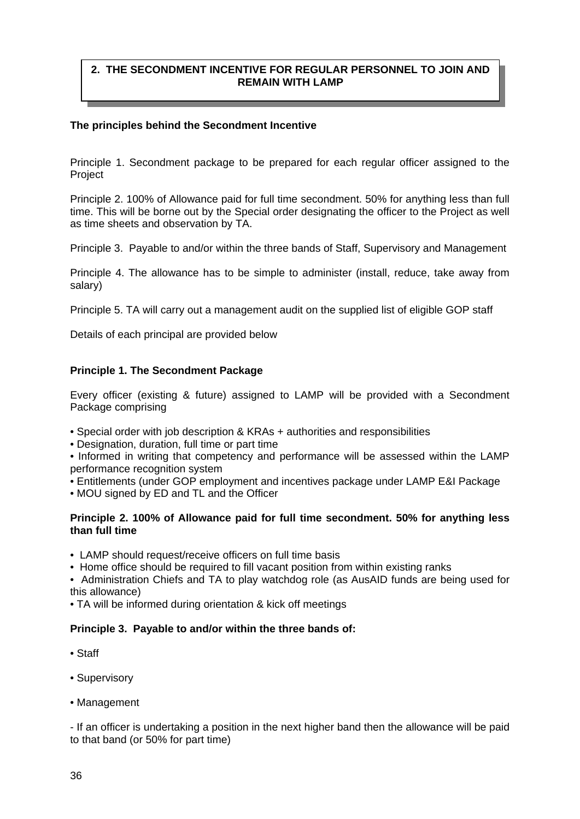#### **2. THE SECONDMENT INCENTIVE FOR REGULAR PERSONNEL TO JOIN AND REMAIN WITH LAMP**

#### **The principles behind the Secondment Incentive**

Principle 1. Secondment package to be prepared for each regular officer assigned to the Project

Principle 2. 100% of Allowance paid for full time secondment. 50% for anything less than full time. This will be borne out by the Special order designating the officer to the Project as well as time sheets and observation by TA.

Principle 3. Payable to and/or within the three bands of Staff, Supervisory and Management

Principle 4. The allowance has to be simple to administer (install, reduce, take away from salary)

Principle 5. TA will carry out a management audit on the supplied list of eligible GOP staff

Details of each principal are provided below

#### **Principle 1. The Secondment Package**

Every officer (existing & future) assigned to LAMP will be provided with a Secondment Package comprising

- Special order with job description & KRAs + authorities and responsibilities
- Designation, duration, full time or part time

• Informed in writing that competency and performance will be assessed within the LAMP performance recognition system

- Entitlements (under GOP employment and incentives package under LAMP E&I Package
- MOU signed by ED and TL and the Officer

#### **Principle 2. 100% of Allowance paid for full time secondment. 50% for anything less than full time**

- LAMP should request/receive officers on full time basis
- Home office should be required to fill vacant position from within existing ranks

• Administration Chiefs and TA to play watchdog role (as AusAID funds are being used for this allowance)

• TA will be informed during orientation & kick off meetings

#### **Principle 3. Payable to and/or within the three bands of:**

- Staff
- Supervisory
- Management

- If an officer is undertaking a position in the next higher band then the allowance will be paid to that band (or 50% for part time)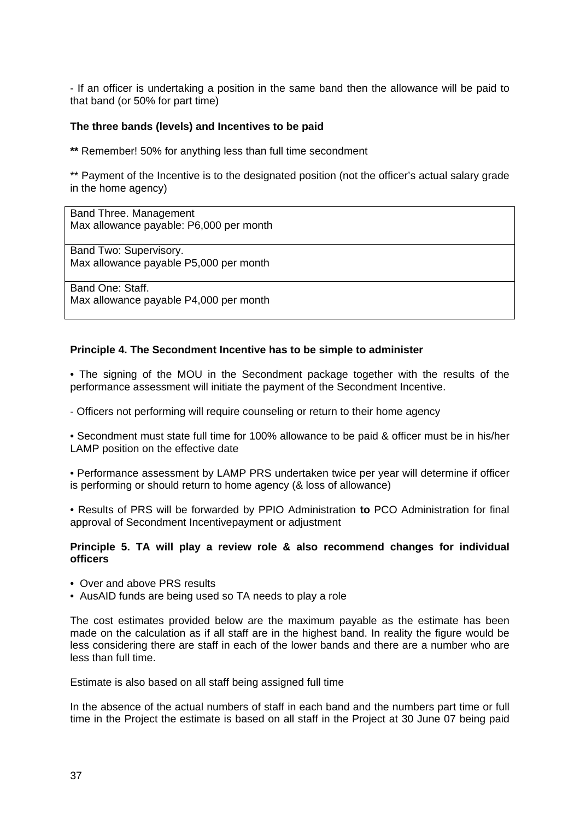- If an officer is undertaking a position in the same band then the allowance will be paid to that band (or 50% for part time)

#### **The three bands (levels) and Incentives to be paid**

**\*\*** Remember! 50% for anything less than full time secondment

\*\* Payment of the Incentive is to the designated position (not the officer's actual salary grade in the home agency)

Band Three. Management Max allowance payable: P6,000 per month

Band Two: Supervisory. Max allowance payable P5,000 per month

Band One: Staff. Max allowance payable P4,000 per month

#### **Principle 4. The Secondment Incentive has to be simple to administer**

• The signing of the MOU in the Secondment package together with the results of the performance assessment will initiate the payment of the Secondment Incentive.

- Officers not performing will require counseling or return to their home agency

• Secondment must state full time for 100% allowance to be paid & officer must be in his/her LAMP position on the effective date

• Performance assessment by LAMP PRS undertaken twice per year will determine if officer is performing or should return to home agency (& loss of allowance)

• Results of PRS will be forwarded by PPIO Administration **to** PCO Administration for final approval of Secondment Incentivepayment or adjustment

#### **Principle 5. TA will play a review role & also recommend changes for individual officers**

- Over and above PRS results
- AusAID funds are being used so TA needs to play a role

The cost estimates provided below are the maximum payable as the estimate has been made on the calculation as if all staff are in the highest band. In reality the figure would be less considering there are staff in each of the lower bands and there are a number who are less than full time.

Estimate is also based on all staff being assigned full time

In the absence of the actual numbers of staff in each band and the numbers part time or full time in the Project the estimate is based on all staff in the Project at 30 June 07 being paid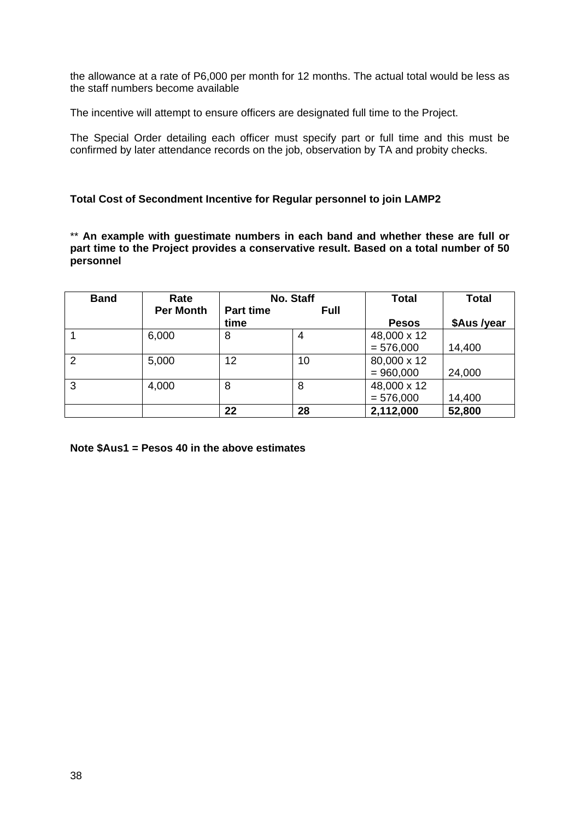the allowance at a rate of P6,000 per month for 12 months. The actual total would be less as the staff numbers become available

The incentive will attempt to ensure officers are designated full time to the Project.

The Special Order detailing each officer must specify part or full time and this must be confirmed by later attendance records on the job, observation by TA and probity checks.

#### **Total Cost of Secondment Incentive for Regular personnel to join LAMP2**

\*\* **An example with guestimate numbers in each band and whether these are full or part time to the Project provides a conservative result. Based on a total number of 50 personnel** 

| <b>Band</b> | Rate             | No. Staff        |             | <b>Total</b> | <b>Total</b> |
|-------------|------------------|------------------|-------------|--------------|--------------|
|             | <b>Per Month</b> | <b>Part time</b> | <b>Full</b> |              |              |
|             |                  | time             |             | <b>Pesos</b> | \$Aus /year  |
|             | 6,000            | 8                | 4           | 48,000 x 12  |              |
|             |                  |                  |             | $= 576,000$  | 14,400       |
| 2           | 5,000            | 12               | 10          | 80,000 x 12  |              |
|             |                  |                  |             | $= 960,000$  | 24,000       |
| 3           | 4,000            | 8                | 8           | 48,000 x 12  |              |
|             |                  |                  |             | $= 576,000$  | 14,400       |
|             |                  | 22               | 28          | 2,112,000    | 52,800       |

**Note \$Aus1 = Pesos 40 in the above estimates**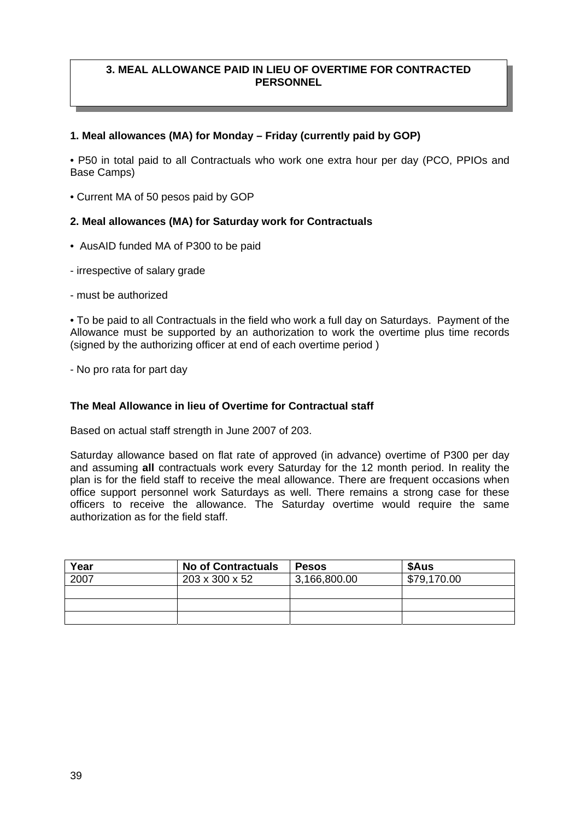#### **3. MEAL ALLOWANCE PAID IN LIEU OF OVERTIME FOR CONTRACTED PERSONNEL**

#### **1. Meal allowances (MA) for Monday – Friday (currently paid by GOP)**

• P50 in total paid to all Contractuals who work one extra hour per day (PCO, PPIOs and Base Camps)

• Current MA of 50 pesos paid by GOP

#### **2. Meal allowances (MA) for Saturday work for Contractuals**

- AusAID funded MA of P300 to be paid
- irrespective of salary grade
- must be authorized

• To be paid to all Contractuals in the field who work a full day on Saturdays. Payment of the Allowance must be supported by an authorization to work the overtime plus time records (signed by the authorizing officer at end of each overtime period )

- No pro rata for part day

#### **The Meal Allowance in lieu of Overtime for Contractual staff**

Based on actual staff strength in June 2007 of 203.

Saturday allowance based on flat rate of approved (in advance) overtime of P300 per day and assuming **all** contractuals work every Saturday for the 12 month period. In reality the plan is for the field staff to receive the meal allowance. There are frequent occasions when office support personnel work Saturdays as well. There remains a strong case for these officers to receive the allowance. The Saturday overtime would require the same authorization as for the field staff.

| Year | <b>No of Contractuals</b> | <b>Pesos</b> | \$Aus       |
|------|---------------------------|--------------|-------------|
| 2007 | 203 x 300 x 52            | 3,166,800.00 | \$79,170.00 |
|      |                           |              |             |
|      |                           |              |             |
|      |                           |              |             |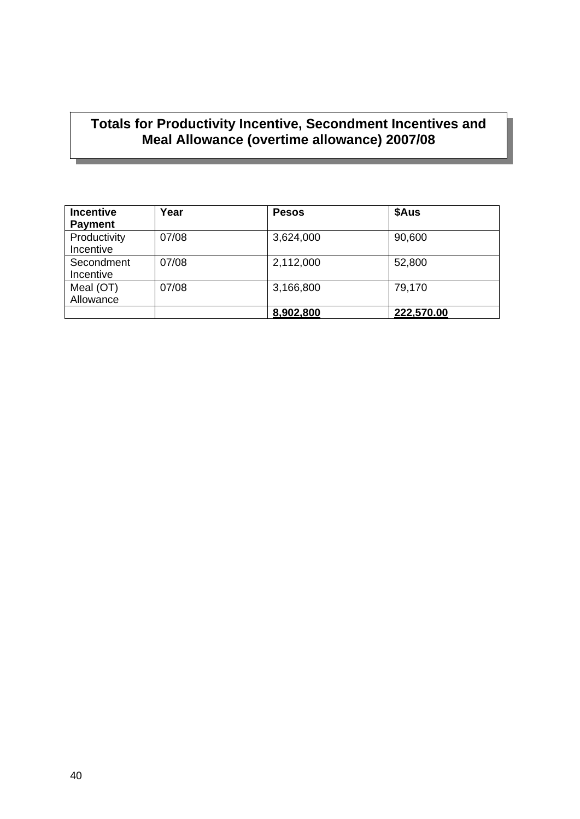## **Totals for Productivity Incentive, Secondment Incentives and Meal Allowance (overtime allowance) 2007/08**

| <b>Incentive</b> | Year  | <b>Pesos</b> | \$Aus      |
|------------------|-------|--------------|------------|
| <b>Payment</b>   |       |              |            |
| Productivity     | 07/08 | 3,624,000    | 90,600     |
| Incentive        |       |              |            |
| Secondment       | 07/08 | 2,112,000    | 52,800     |
| Incentive        |       |              |            |
| Meal (OT)        | 07/08 | 3,166,800    | 79,170     |
| Allowance        |       |              |            |
|                  |       | 8,902,800    | 222,570.00 |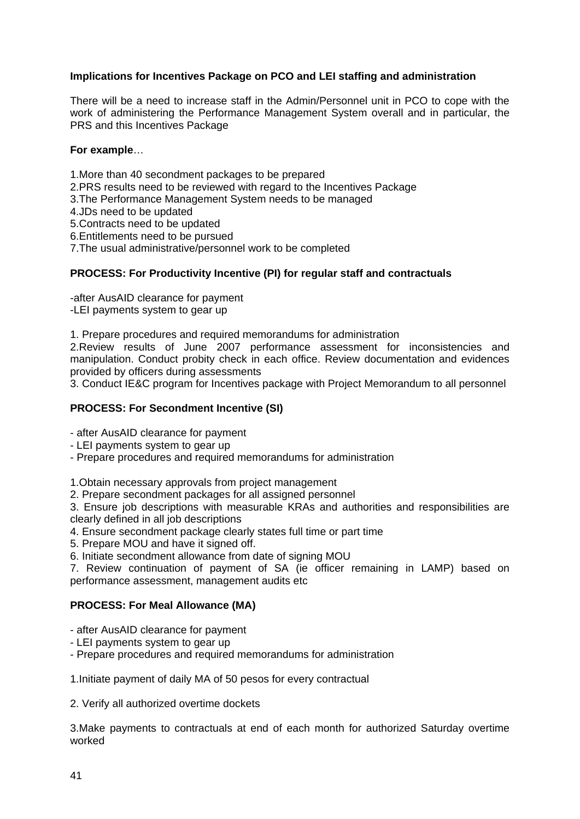#### **Implications for Incentives Package on PCO and LEI staffing and administration**

There will be a need to increase staff in the Admin/Personnel unit in PCO to cope with the work of administering the Performance Management System overall and in particular, the PRS and this Incentives Package

#### **For example**…

- 1.More than 40 secondment packages to be prepared
- 2.PRS results need to be reviewed with regard to the Incentives Package
- 3.The Performance Management System needs to be managed
- 4.JDs need to be updated
- 5.Contracts need to be updated
- 6.Entitlements need to be pursued

7.The usual administrative/personnel work to be completed

#### **PROCESS: For Productivity Incentive (PI) for regular staff and contractuals**

-after AusAID clearance for payment -LEI payments system to gear up

1. Prepare procedures and required memorandums for administration

2.Review results of June 2007 performance assessment for inconsistencies and manipulation. Conduct probity check in each office. Review documentation and evidences provided by officers during assessments

3. Conduct IE&C program for Incentives package with Project Memorandum to all personnel

#### **PROCESS: For Secondment Incentive (SI)**

- after AusAID clearance for payment

- LEI payments system to gear up
- Prepare procedures and required memorandums for administration

1.Obtain necessary approvals from project management

2. Prepare secondment packages for all assigned personnel

3. Ensure job descriptions with measurable KRAs and authorities and responsibilities are clearly defined in all job descriptions

- 4. Ensure secondment package clearly states full time or part time
- 5. Prepare MOU and have it signed off.

6. Initiate secondment allowance from date of signing MOU

7. Review continuation of payment of SA (ie officer remaining in LAMP) based on performance assessment, management audits etc

#### **PROCESS: For Meal Allowance (MA)**

- after AusAID clearance for payment
- LEI payments system to gear up
- Prepare procedures and required memorandums for administration

1.Initiate payment of daily MA of 50 pesos for every contractual

2. Verify all authorized overtime dockets

3.Make payments to contractuals at end of each month for authorized Saturday overtime worked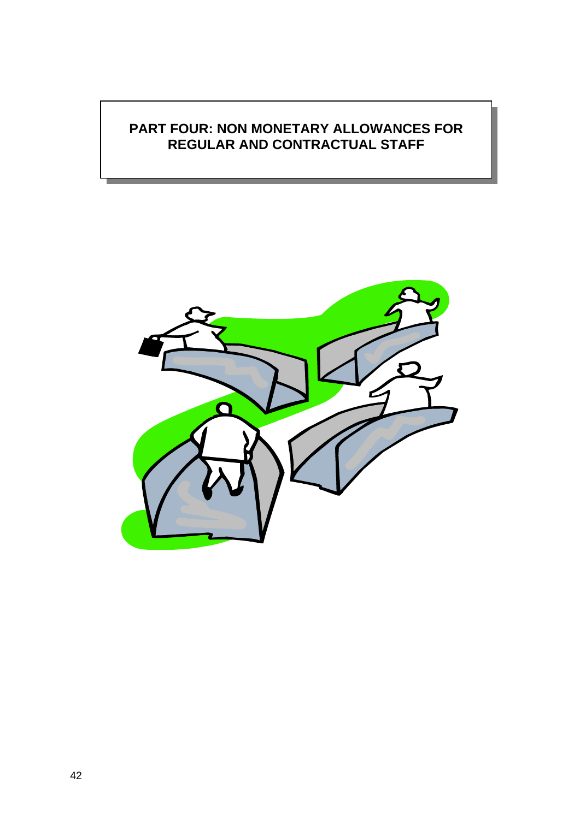## **PART FOUR: NON MONETARY ALLOWANCES FOR REGULAR AND CONTRACTUAL STAFF**

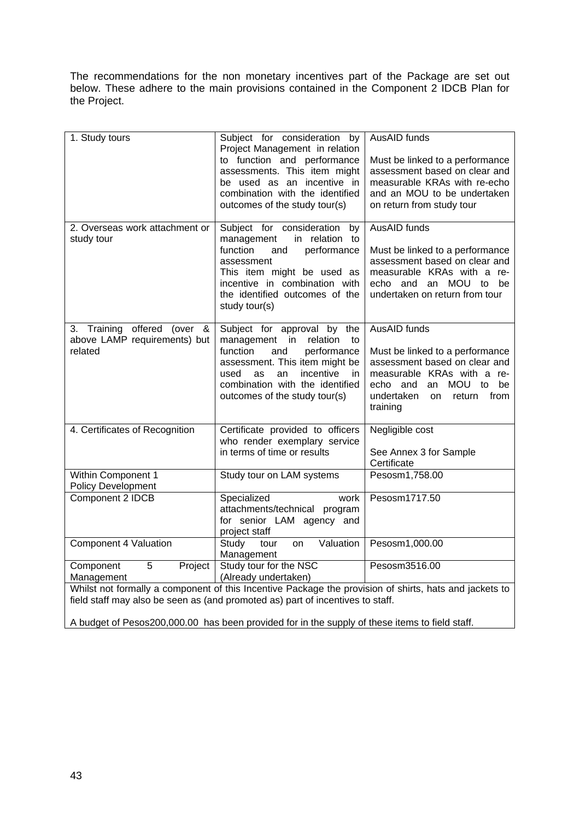The recommendations for the non monetary incentives part of the Package are set out below. These adhere to the main provisions contained in the Component 2 IDCB Plan for the Project.

| 1. Study tours                                                                                         | Subject for consideration by<br>Project Management in relation<br>to function and performance<br>assessments. This item might<br>be used as an incentive in<br>combination with the identified<br>outcomes of the study tour(s)               | AusAID funds<br>Must be linked to a performance<br>assessment based on clear and<br>measurable KRAs with re-echo<br>and an MOU to be undertaken<br>on return from study tour                       |  |
|--------------------------------------------------------------------------------------------------------|-----------------------------------------------------------------------------------------------------------------------------------------------------------------------------------------------------------------------------------------------|----------------------------------------------------------------------------------------------------------------------------------------------------------------------------------------------------|--|
| 2. Overseas work attachment or<br>study tour                                                           | Subject for consideration<br>by<br>in relation to<br>management<br>function<br>performance<br>and<br>assessment<br>This item might be used as<br>incentive in combination with<br>the identified outcomes of the<br>study tour(s)             | AusAID funds<br>Must be linked to a performance<br>assessment based on clear and<br>measurable KRAs with a re-<br>echo and an MOU to<br>be<br>undertaken on return from tour                       |  |
| 3. Training offered<br>(over<br>&<br>above LAMP requirements) but<br>related                           | Subject for approval by the<br>management in<br>relation<br>to<br>performance<br>function<br>and<br>assessment. This item might be<br>incentive<br>used<br>as<br>an<br>in<br>combination with the identified<br>outcomes of the study tour(s) | AusAID funds<br>Must be linked to a performance<br>assessment based on clear and<br>measurable KRAs with a re-<br>MOU to<br>echo and<br>an<br>be<br>undertaken<br>from<br>return<br>on<br>training |  |
| 4. Certificates of Recognition                                                                         | Certificate provided to officers<br>who render exemplary service<br>in terms of time or results                                                                                                                                               | Negligible cost<br>See Annex 3 for Sample<br>Certificate                                                                                                                                           |  |
| Within Component 1<br><b>Policy Development</b>                                                        | Study tour on LAM systems                                                                                                                                                                                                                     | Pesosm1,758.00                                                                                                                                                                                     |  |
| Component 2 IDCB                                                                                       | Specialized<br>work<br>attachments/technical program<br>for senior LAM agency and<br>project staff                                                                                                                                            | Pesosm1717.50                                                                                                                                                                                      |  |
| Component 4 Valuation                                                                                  | Valuation<br>Study<br>tour<br>on<br>Management                                                                                                                                                                                                | Pesosm1,000.00                                                                                                                                                                                     |  |
| Component<br>5<br>Project<br>Management                                                                | Study tour for the NSC<br>(Already undertaken)                                                                                                                                                                                                | Pesosm3516.00                                                                                                                                                                                      |  |
| Whilst not formally a component of this Incentive Package the provision of shirts, hats and jackets to |                                                                                                                                                                                                                                               |                                                                                                                                                                                                    |  |

field staff may also be seen as (and promoted as) part of incentives to staff.

A budget of Pesos200,000.00 has been provided for in the supply of these items to field staff.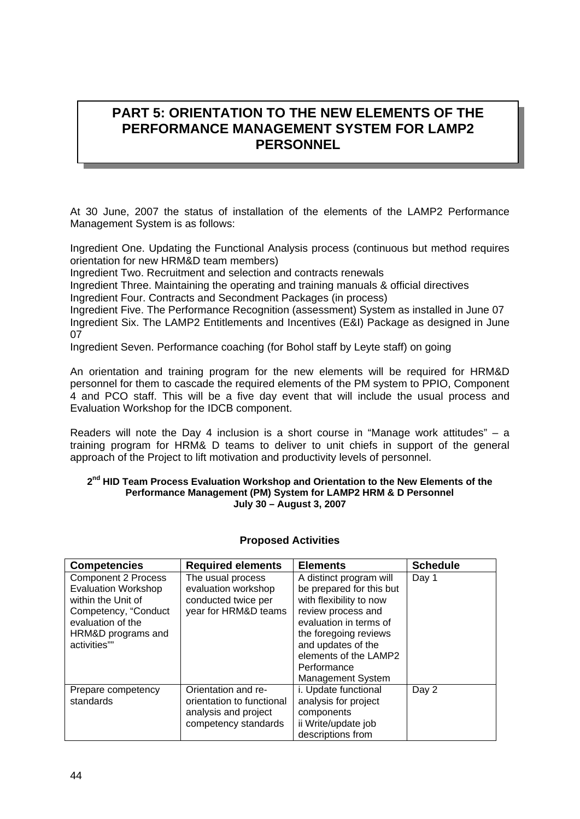## **PART 5: ORIENTATION TO THE NEW ELEMENTS OF THE PERFORMANCE MANAGEMENT SYSTEM FOR LAMP2 PERSONNEL**

At 30 June, 2007 the status of installation of the elements of the LAMP2 Performance Management System is as follows:

Ingredient One. Updating the Functional Analysis process (continuous but method requires orientation for new HRM&D team members)

Ingredient Two. Recruitment and selection and contracts renewals

Ingredient Three. Maintaining the operating and training manuals & official directives

Ingredient Four. Contracts and Secondment Packages (in process)

Ingredient Five. The Performance Recognition (assessment) System as installed in June 07 Ingredient Six. The LAMP2 Entitlements and Incentives (E&I) Package as designed in June 07

Ingredient Seven. Performance coaching (for Bohol staff by Leyte staff) on going

An orientation and training program for the new elements will be required for HRM&D personnel for them to cascade the required elements of the PM system to PPIO, Component 4 and PCO staff. This will be a five day event that will include the usual process and Evaluation Workshop for the IDCB component.

Readers will note the Day 4 inclusion is a short course in "Manage work attitudes" – a training program for HRM& D teams to deliver to unit chiefs in support of the general approach of the Project to lift motivation and productivity levels of personnel.

#### **2nd HID Team Process Evaluation Workshop and Orientation to the New Elements of the Performance Management (PM) System for LAMP2 HRM & D Personnel July 30 – August 3, 2007**

| <b>Competencies</b>        | <b>Required elements</b>  | <b>Elements</b>          | <b>Schedule</b> |
|----------------------------|---------------------------|--------------------------|-----------------|
| <b>Component 2 Process</b> | The usual process         | A distinct program will  | Day 1           |
| <b>Evaluation Workshop</b> | evaluation workshop       | be prepared for this but |                 |
| within the Unit of         | conducted twice per       | with flexibility to now  |                 |
| Competency, "Conduct       | year for HRM&D teams      | review process and       |                 |
| evaluation of the          |                           | evaluation in terms of   |                 |
| HRM&D programs and         |                           | the foregoing reviews    |                 |
| activities""               |                           | and updates of the       |                 |
|                            |                           | elements of the LAMP2    |                 |
|                            |                           | Performance              |                 |
|                            |                           | <b>Management System</b> |                 |
| Prepare competency         | Orientation and re-       | i. Update functional     | Day 2           |
| standards                  | orientation to functional | analysis for project     |                 |
|                            | analysis and project      | components               |                 |
|                            | competency standards      | ii Write/update job      |                 |
|                            |                           | descriptions from        |                 |

#### **Proposed Activities**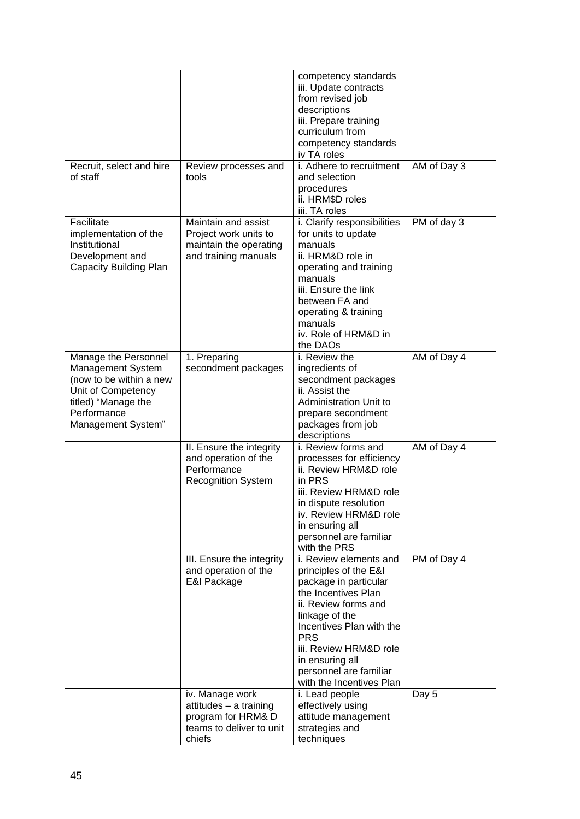|                                                                                                                                                        |                                                                                                       | competency standards<br>iii. Update contracts<br>from revised job<br>descriptions<br>iii. Prepare training<br>curriculum from                                                                                                                                                          |             |
|--------------------------------------------------------------------------------------------------------------------------------------------------------|-------------------------------------------------------------------------------------------------------|----------------------------------------------------------------------------------------------------------------------------------------------------------------------------------------------------------------------------------------------------------------------------------------|-------------|
|                                                                                                                                                        |                                                                                                       | competency standards<br>iv TA roles                                                                                                                                                                                                                                                    |             |
| Recruit, select and hire<br>of staff                                                                                                                   | Review processes and<br>tools                                                                         | i. Adhere to recruitment<br>and selection<br>procedures<br>ii. HRM\$D roles<br>iii. TA roles                                                                                                                                                                                           | AM of Day 3 |
| Facilitate<br>implementation of the<br>Institutional<br>Development and<br><b>Capacity Building Plan</b>                                               | Maintain and assist<br>Project work units to<br>maintain the operating<br>and training manuals        | i. Clarify responsibilities<br>for units to update<br>manuals<br>ii. HRM&D role in<br>operating and training<br>manuals<br>iii. Ensure the link<br>between FA and<br>operating & training<br>manuals<br>iv. Role of HRM&D in<br>the DAOs                                               | PM of day 3 |
| Manage the Personnel<br>Management System<br>(now to be within a new<br>Unit of Competency<br>titled) "Manage the<br>Performance<br>Management System" | 1. Preparing<br>secondment packages                                                                   | i. Review the<br>ingredients of<br>secondment packages<br>ii. Assist the<br><b>Administration Unit to</b><br>prepare secondment<br>packages from job<br>descriptions                                                                                                                   | AM of Day 4 |
|                                                                                                                                                        | II. Ensure the integrity<br>and operation of the<br>Performance<br><b>Recognition System</b>          | i. Review forms and<br>processes for efficiency<br>ii. Review HRM&D role<br>in PRS<br>iii. Review HRM&D role<br>in dispute resolution<br>iv. Review HRM&D role<br>in ensuring all<br>personnel are familiar<br>with the PRS                                                            | AM of Day 4 |
|                                                                                                                                                        | III. Ensure the integrity<br>and operation of the<br>E&I Package                                      | i. Review elements and<br>principles of the E&I<br>package in particular<br>the Incentives Plan<br>ii. Review forms and<br>linkage of the<br>Incentives Plan with the<br><b>PRS</b><br>iii. Review HRM&D role<br>in ensuring all<br>personnel are familiar<br>with the Incentives Plan | PM of Day 4 |
|                                                                                                                                                        | iv. Manage work<br>attitudes - a training<br>program for HRM& D<br>teams to deliver to unit<br>chiefs | i. Lead people<br>effectively using<br>attitude management<br>strategies and<br>techniques                                                                                                                                                                                             | Day 5       |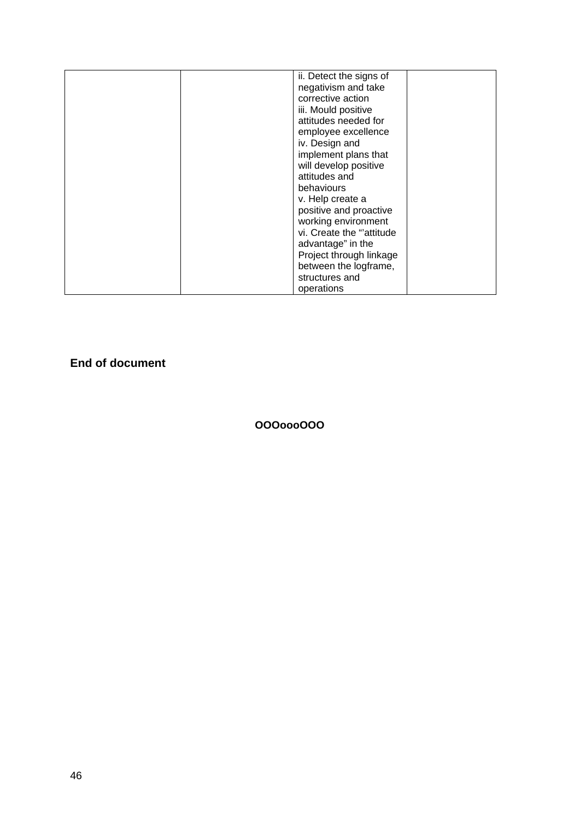|  | ii. Detect the signs of   |  |
|--|---------------------------|--|
|  | negativism and take       |  |
|  | corrective action         |  |
|  | iii. Mould positive       |  |
|  | attitudes needed for      |  |
|  | employee excellence       |  |
|  | iv. Design and            |  |
|  | implement plans that      |  |
|  | will develop positive     |  |
|  | attitudes and             |  |
|  | behaviours                |  |
|  | v. Help create a          |  |
|  | positive and proactive    |  |
|  | working environment       |  |
|  | vi. Create the "attitude" |  |
|  | advantage" in the         |  |
|  | Project through linkage   |  |
|  | between the logframe,     |  |
|  | structures and            |  |
|  | operations                |  |

**End of document** 

**OOOoooOOO**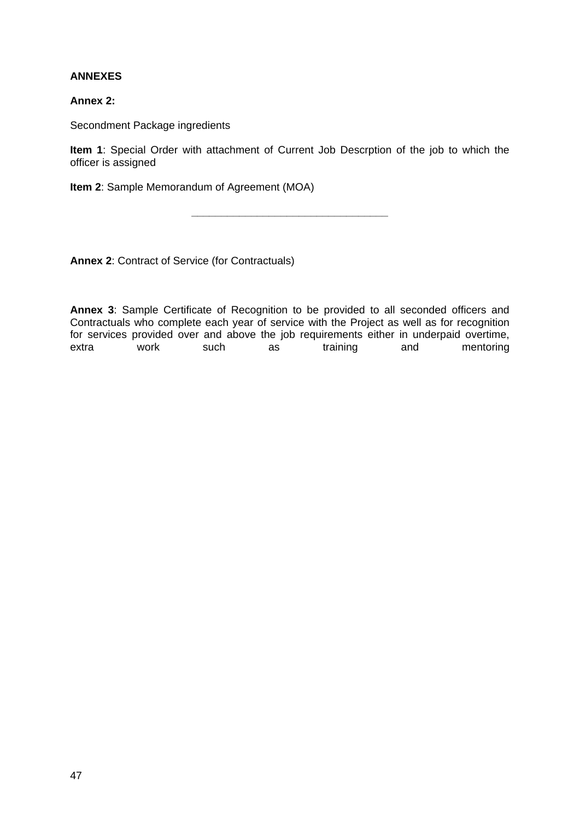#### **ANNEXES**

#### **Annex 2:**

Secondment Package ingredients

**Item 1**: Special Order with attachment of Current Job Descrption of the job to which the officer is assigned

**\_\_\_\_\_\_\_\_\_\_\_\_\_\_\_\_\_\_\_\_\_\_\_\_\_\_\_\_\_\_\_\_\_** 

**Item 2**: Sample Memorandum of Agreement (MOA)

**Annex 2**: Contract of Service (for Contractuals)

**Annex 3**: Sample Certificate of Recognition to be provided to all seconded officers and Contractuals who complete each year of service with the Project as well as for recognition for services provided over and above the job requirements either in underpaid overtime, extra work such as training and mentoring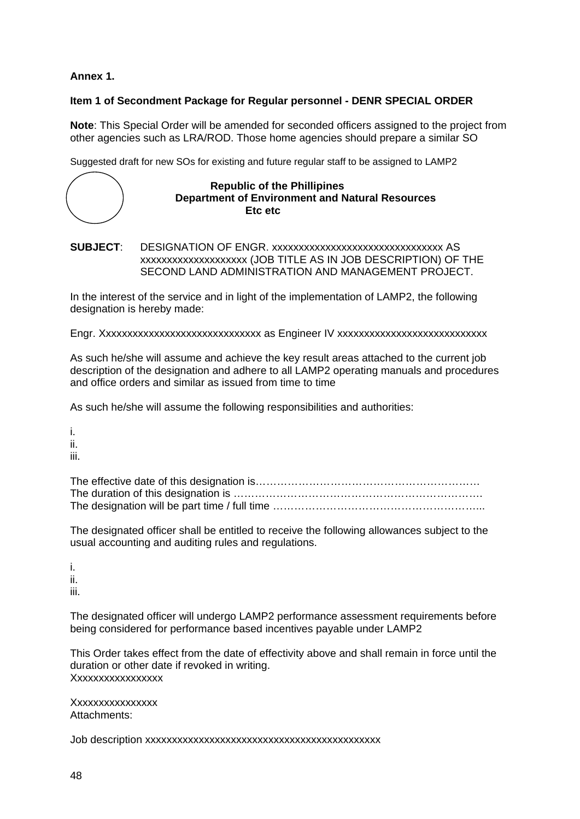**Annex 1.** 

#### **Item 1 of Secondment Package for Regular personnel - DENR SPECIAL ORDER**

**Note**: This Special Order will be amended for seconded officers assigned to the project from other agencies such as LRA/ROD. Those home agencies should prepare a similar SO

Suggested draft for new SOs for existing and future regular staff to be assigned to LAMP2

#### **Republic of the Phillipines Department of Environment and Natural Resources Etc etc**

**SUBJECT**: DESIGNATION OF ENGR. xxxxxxxxxxxxxxxxxxxxxxxxxxxxxxxx AS xxxxxxxxxxxxxxxxxxxx (JOB TITLE AS IN JOB DESCRIPTION) OF THE SECOND LAND ADMINISTRATION AND MANAGEMENT PROJECT.

In the interest of the service and in light of the implementation of LAMP2, the following designation is hereby made:

Engr. Xxxxxxxxxxxxxxxxxxxxxxxxxxxxxx as Engineer IV xxxxxxxxxxxxxxxxxxxxxxxxxxxx

As such he/she will assume and achieve the key result areas attached to the current job description of the designation and adhere to all LAMP2 operating manuals and procedures and office orders and similar as issued from time to time

As such he/she will assume the following responsibilities and authorities:

i. ii.

iii.

The designated officer shall be entitled to receive the following allowances subject to the usual accounting and auditing rules and regulations.

i. ii. iii.

The designated officer will undergo LAMP2 performance assessment requirements before being considered for performance based incentives payable under LAMP2

This Order takes effect from the date of effectivity above and shall remain in force until the duration or other date if revoked in writing. Xxxxxxxxxxxxxxxxx

Xxxxxxxxxxxxxxxx Attachments:

Job description xxxxxxxxxxxxxxxxxxxxxxxxxxxxxxxxxxxxxxxxxxxx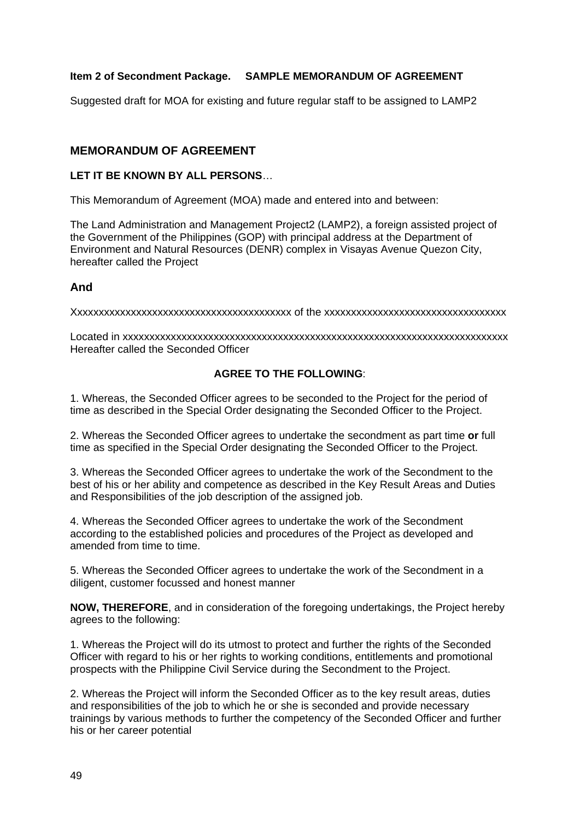#### **Item 2 of Secondment Package. SAMPLE MEMORANDUM OF AGREEMENT**

Suggested draft for MOA for existing and future regular staff to be assigned to LAMP2

#### **MEMORANDUM OF AGREEMENT**

#### **LET IT BE KNOWN BY ALL PERSONS**…

This Memorandum of Agreement (MOA) made and entered into and between:

The Land Administration and Management Project2 (LAMP2), a foreign assisted project of the Government of the Philippines (GOP) with principal address at the Department of Environment and Natural Resources (DENR) complex in Visayas Avenue Quezon City, hereafter called the Project

#### **And**

Xxxxxxxxxxxxxxxxxxxxxxxxxxxxxxxxxxxxxxxxx of the xxxxxxxxxxxxxxxxxxxxxxxxxxxxxxxxxx

Located in xxxxxxxxxxxxxxxxxxxxxxxxxxxxxxxxxxxxxxxxxxxxxxxxxxxxxxxxxxxxxxxxxxxxxxxx Hereafter called the Seconded Officer

#### **AGREE TO THE FOLLOWING**:

1. Whereas, the Seconded Officer agrees to be seconded to the Project for the period of time as described in the Special Order designating the Seconded Officer to the Project.

2. Whereas the Seconded Officer agrees to undertake the secondment as part time **or** full time as specified in the Special Order designating the Seconded Officer to the Project.

3. Whereas the Seconded Officer agrees to undertake the work of the Secondment to the best of his or her ability and competence as described in the Key Result Areas and Duties and Responsibilities of the job description of the assigned job.

4. Whereas the Seconded Officer agrees to undertake the work of the Secondment according to the established policies and procedures of the Project as developed and amended from time to time.

5. Whereas the Seconded Officer agrees to undertake the work of the Secondment in a diligent, customer focussed and honest manner

**NOW, THEREFORE**, and in consideration of the foregoing undertakings, the Project hereby agrees to the following:

1. Whereas the Project will do its utmost to protect and further the rights of the Seconded Officer with regard to his or her rights to working conditions, entitlements and promotional prospects with the Philippine Civil Service during the Secondment to the Project.

2. Whereas the Project will inform the Seconded Officer as to the key result areas, duties and responsibilities of the job to which he or she is seconded and provide necessary trainings by various methods to further the competency of the Seconded Officer and further his or her career potential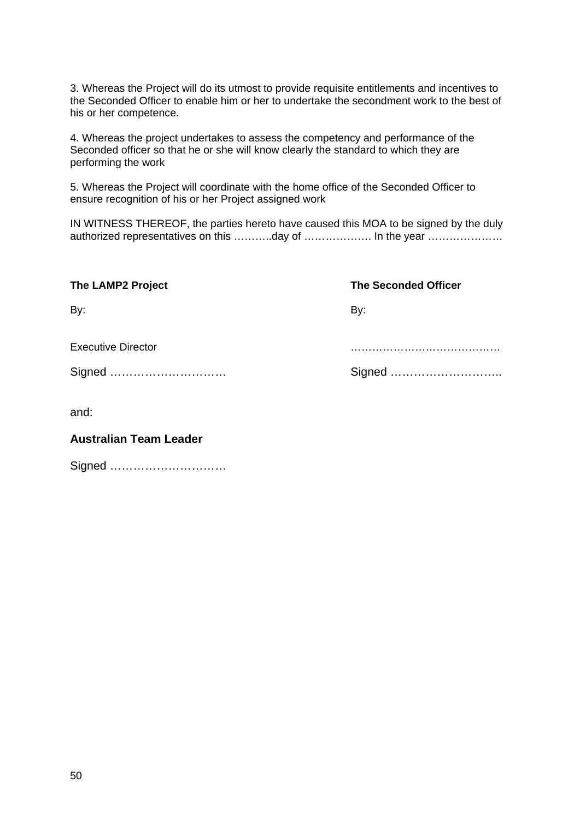3. Whereas the Project will do its utmost to provide requisite entitlements and incentives to the Seconded Officer to enable him or her to undertake the secondment work to the best of his or her competence.

4. Whereas the project undertakes to assess the competency and performance of the Seconded officer so that he or she will know clearly the standard to which they are performing the work

5. Whereas the Project will coordinate with the home office of the Seconded Officer to ensure recognition of his or her Project assigned work

IN WITNESS THEREOF, the parties hereto have caused this MOA to be signed by the duly authorized representatives on this ………..day of ……………… In the year ……………………

| <b>The LAMP2 Project</b>  | <b>The Seconded Officer</b> |
|---------------------------|-----------------------------|
| By:                       | By:                         |
| <b>Executive Director</b> |                             |
| Signed                    |                             |
| and:                      |                             |

#### **Australian Team Leader**

Signed …………………………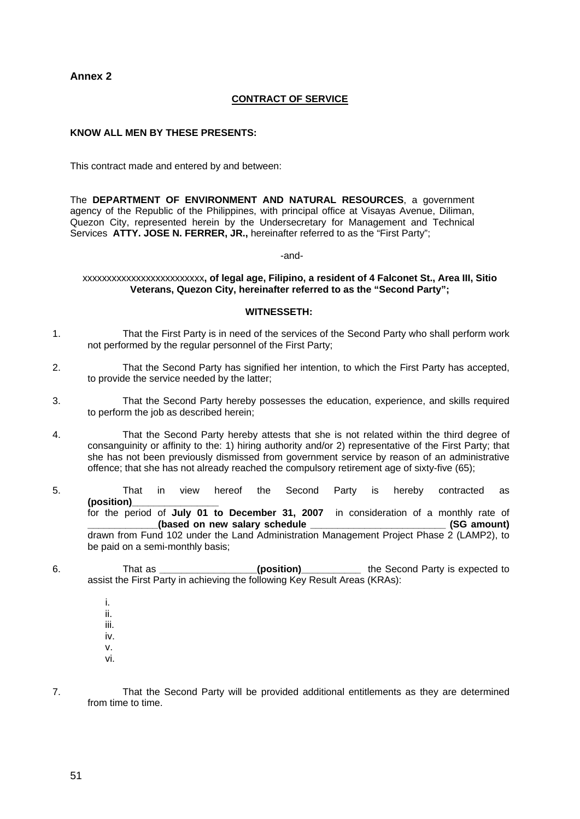**Annex 2** 

#### **CONTRACT OF SERVICE**

#### **KNOW ALL MEN BY THESE PRESENTS:**

This contract made and entered by and between:

The **DEPARTMENT OF ENVIRONMENT AND NATURAL RESOURCES**, a government agency of the Republic of the Philippines, with principal office at Visayas Avenue, Diliman, Quezon City, represented herein by the Undersecretary for Management and Technical Services **ATTY. JOSE N. FERRER, JR.,** hereinafter referred to as the "First Party";

-and-

xxxxxxxxxxxxxxxxxxxxxxxxx**, of legal age, Filipino, a resident of 4 Falconet St., Area III, Sitio Veterans, Quezon City, hereinafter referred to as the "Second Party";** 

#### **WITNESSETH:**

- 1. That the First Party is in need of the services of the Second Party who shall perform work not performed by the regular personnel of the First Party;
- 2. That the Second Party has signified her intention, to which the First Party has accepted, to provide the service needed by the latter;
- 3. That the Second Party hereby possesses the education, experience, and skills required to perform the job as described herein;
- 4. That the Second Party hereby attests that she is not related within the third degree of consanguinity or affinity to the: 1) hiring authority and/or 2) representative of the First Party; that she has not been previously dismissed from government service by reason of an administrative offence; that she has not already reached the compulsory retirement age of sixty-five (65);
- 5. That in view hereof the Second Party is hereby contracted as **(position)\_\_\_\_\_\_\_\_\_\_\_\_\_\_\_\_**  for the period of **July 01 to December 31, 2007** in consideration of a monthly rate of **\_\_\_\_\_\_\_\_\_\_\_\_\_(based on new salary schedule \_\_\_\_\_\_\_\_\_\_\_\_\_\_\_\_\_\_\_\_\_\_\_\_\_ (SG amount)**  drawn from Fund 102 under the Land Administration Management Project Phase 2 (LAMP2), to be paid on a semi-monthly basis;
- 6. That as **\_\_\_\_\_\_\_\_\_\_\_\_\_\_\_\_\_\_(position)\_\_\_\_\_\_\_\_\_\_\_** the Second Party is expected to assist the First Party in achieving the following Key Result Areas (KRAs):

 i. ii. iii. iv. v.

- vi.
- 7. That the Second Party will be provided additional entitlements as they are determined from time to time.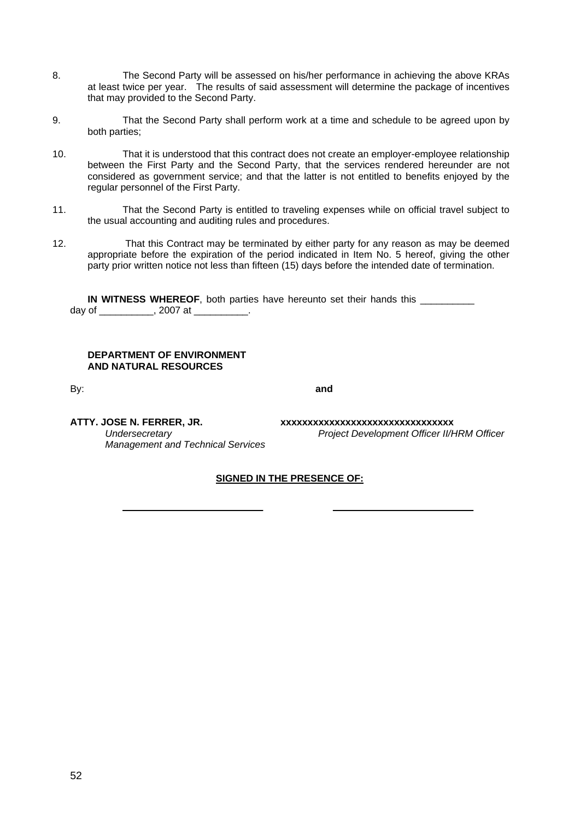- 8. The Second Party will be assessed on his/her performance in achieving the above KRAs at least twice per year. The results of said assessment will determine the package of incentives that may provided to the Second Party.
- 9. That the Second Party shall perform work at a time and schedule to be agreed upon by both parties;
- 10. That it is understood that this contract does not create an employer-employee relationship between the First Party and the Second Party, that the services rendered hereunder are not considered as government service; and that the latter is not entitled to benefits enjoyed by the regular personnel of the First Party.
- 11. That the Second Party is entitled to traveling expenses while on official travel subject to the usual accounting and auditing rules and procedures.
- 12. That this Contract may be terminated by either party for any reason as may be deemed appropriate before the expiration of the period indicated in Item No. 5 hereof, giving the other party prior written notice not less than fifteen (15) days before the intended date of termination.

**IN WITNESS WHEREOF**, both parties have hereunto set their hands this \_\_\_\_\_\_\_\_\_\_ day of  $\qquad \qquad$ , 2007 at  $\qquad \qquad$ .

#### **DEPARTMENT OF ENVIRONMENT AND NATURAL RESOURCES**

By: **and and and and** 

*Management and Technical Services* 

**ATTY. JOSE N. FERRER, JR. xxxxxxxxxxxxxxxxxxxxxxxxxxxxxxxx**  *Undersecretary Project Development Officer II/HRM Officer* 

#### **SIGNED IN THE PRESENCE OF:**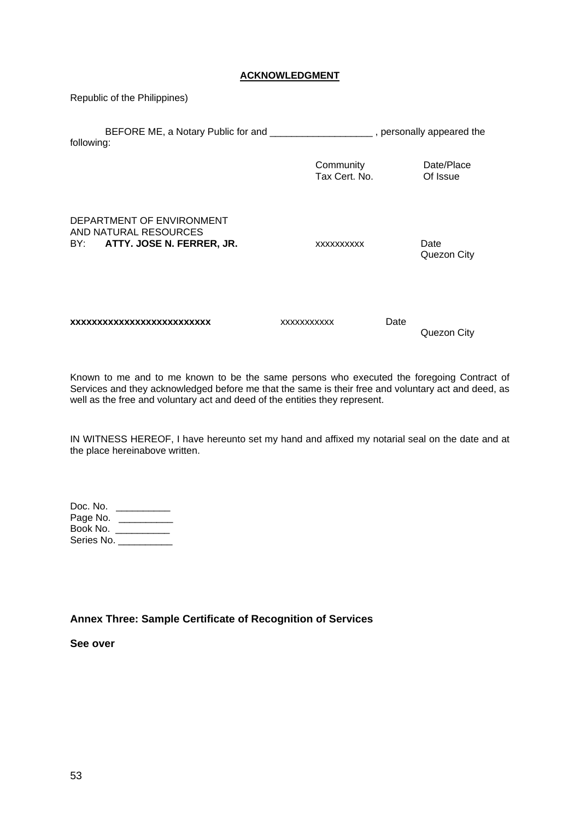#### **ACKNOWLEDGMENT**

Republic of the Philippines)

| following:                                                                          | BEFORE ME, a Notary Public for and ____________________, personally appeared the |      |                        |
|-------------------------------------------------------------------------------------|----------------------------------------------------------------------------------|------|------------------------|
|                                                                                     | Community<br>Tax Cert, No.                                                       |      | Date/Place<br>Of Issue |
| DEPARTMENT OF ENVIRONMENT<br>AND NATURAL RESOURCES<br>BY: ATTY. JOSE N. FERRER, JR. | XXXXXXXXXX                                                                       |      | Date<br>Quezon City    |
| xxxxxxxxxxxxxxxxxxxxxxxx                                                            | <b>XXXXXXXXXXX</b>                                                               | Date | Quezon City            |

Known to me and to me known to be the same persons who executed the foregoing Contract of Services and they acknowledged before me that the same is their free and voluntary act and deed, as well as the free and voluntary act and deed of the entities they represent.

IN WITNESS HEREOF, I have hereunto set my hand and affixed my notarial seal on the date and at the place hereinabove written.

| Doc. No.   |  |
|------------|--|
| Page No.   |  |
| Book No.   |  |
| Series No. |  |

#### **Annex Three: Sample Certificate of Recognition of Services**

**See over**